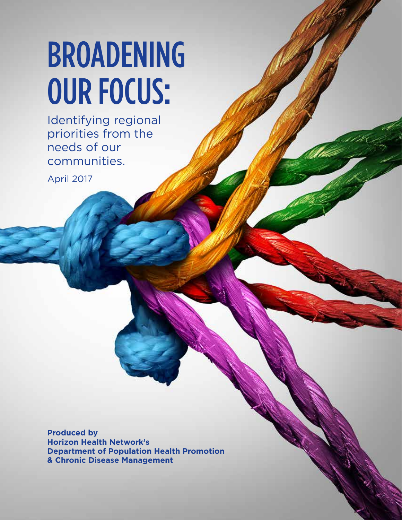# BROADENING OUR FOCUS:

Identifying regional priorities from the needs of our communities.

April 2017

**Produced by Horizon Health Network's Department of Population Health Promotion & Chronic Disease Management**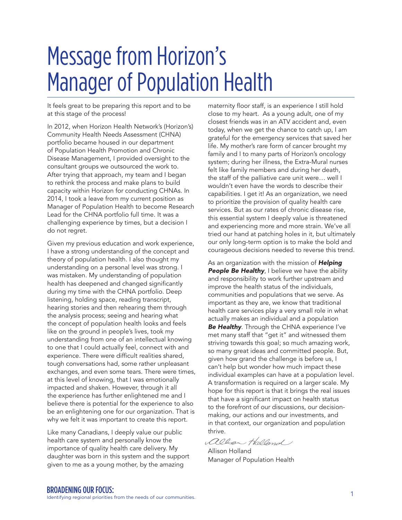## Message from Horizon's Manager of Population Health

It feels great to be preparing this report and to be at this stage of the process!

In 2012, when Horizon Health Network's (Horizon's) Community Health Needs Assessment (CHNA) portfolio became housed in our department of Population Health Promotion and Chronic Disease Management, I provided oversight to the consultant groups we outsourced the work to. After trying that approach, my team and I began to rethink the process and make plans to build capacity within Horizon for conducting CHNAs. In 2014, I took a leave from my current position as Manager of Population Health to become Research Lead for the CHNA portfolio full time. It was a challenging experience by times, but a decision I do not regret.

Given my previous education and work experience, I have a strong understanding of the concept and theory of population health. I also thought my understanding on a personal level was strong. I was mistaken. My understanding of population health has deepened and changed significantly during my time with the CHNA portfolio. Deep listening, holding space, reading transcript, hearing stories and then rehearing them through the analysis process; seeing and hearing what the concept of population health looks and feels like on the ground in people's lives, took my understanding from one of an intellectual knowing to one that I could actually feel, connect with and experience. There were difficult realities shared, tough conversations had, some rather unpleasant exchanges, and even some tears. There were times, at this level of knowing, that I was emotionally impacted and shaken. However, through it all the experience has further enlightened me and I believe there is potential for the experience to also be an enlightening one for our organization. That is why we felt it was important to create this report.

Like many Canadians, I deeply value our public health care system and personally know the importance of quality health care delivery. My daughter was born in this system and the support given to me as a young mother, by the amazing

maternity floor staff, is an experience I still hold close to my heart. As a young adult, one of my closest friends was in an ATV accident and, even today, when we get the chance to catch up, I am grateful for the emergency services that saved her life. My mother's rare form of cancer brought my family and I to many parts of Horizon's oncology system; during her illness, the Extra-Mural nurses felt like family members and during her death, the staff of the palliative care unit were… well I wouldn't even have the words to describe their capabilities. I get it! As an organization, we need to prioritize the provision of quality health care services. But as our rates of chronic disease rise, this essential system I deeply value is threatened and experiencing more and more strain. We've all tried our hand at patching holes in it, but ultimately our only long-term option is to make the bold and courageous decisions needed to reverse this trend.

As an organization with the mission of *Helping*  **People Be Healthy**, I believe we have the ability and responsibility to work further upstream and improve the health status of the individuals, communities and populations that we serve. As important as they are, we know that traditional health care services play a very small role in what actually makes an individual and a population *Be Healthy*. Through the CHNA experience I've met many staff that "get it" and witnessed them striving towards this goal; so much amazing work, so many great ideas and committed people. But, given how grand the challenge is before us, I can't help but wonder how much impact these individual examples can have at a population level. A transformation is required on a larger scale. My hope for this report is that it brings the real issues that have a significant impact on health status to the forefront of our discussions, our decisionmaking, our actions and our investments, and in that context, our organization and population thrive.

allisan Holland

Allison Holland Manager of Population Health

EXAMPENING OUR FOCUS:<br>Identifying regional priorities from the needs of our communities.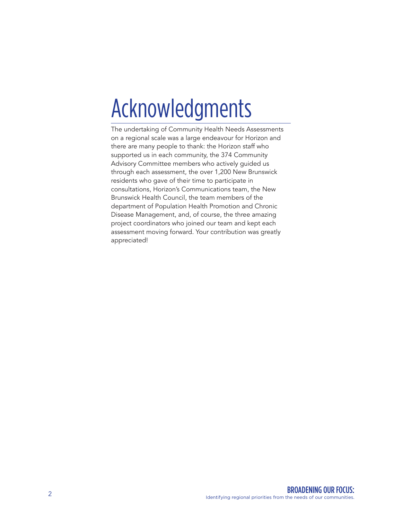## Acknowledgments

The undertaking of Community Health Needs Assessments on a regional scale was a large endeavour for Horizon and there are many people to thank: the Horizon staff who supported us in each community, the 374 Community Advisory Committee members who actively guided us through each assessment, the over 1,200 New Brunswick residents who gave of their time to participate in consultations, Horizon's Communications team, the New Brunswick Health Council, the team members of the department of Population Health Promotion and Chronic Disease Management, and, of course, the three amazing project coordinators who joined our team and kept each assessment moving forward. Your contribution was greatly appreciated!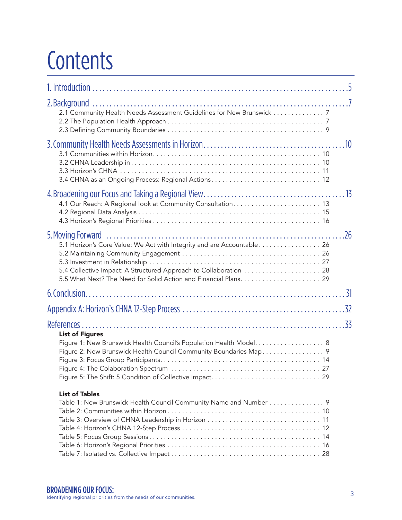## **Contents**

| 5.4 Collective Impact: A Structured Approach to Collaboration  28                                                                                                   |  |
|---------------------------------------------------------------------------------------------------------------------------------------------------------------------|--|
|                                                                                                                                                                     |  |
|                                                                                                                                                                     |  |
|                                                                                                                                                                     |  |
| <b>List of Figures</b><br>Figure 1: New Brunswick Health Council's Population Health Model. 8<br>Figure 2: New Brunswick Health Council Community Boundaries Map. 9 |  |
| <b>List of Tables</b><br>Table 1: New Brunswick Health Council Community Name and Number 9                                                                          |  |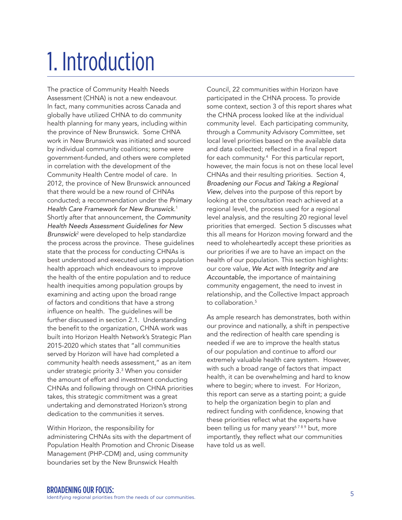## 1. Introduction

The practice of Community Health Needs Assessment (CHNA) is not a new endeavour. In fact, many communities across Canada and globally have utilized CHNA to do community health planning for many years, including within the province of New Brunswick. Some CHNA work in New Brunswick was initiated and sourced by individual community coalitions; some were government-funded, and others were completed in correlation with the development of the Community Health Centre model of care. In 2012, the province of New Brunswick announced that there would be a new round of CHNAs conducted; a recommendation under the *Primary Health Care Framework for New Brunswick*. 1 Shortly after that announcement, the *Community Health Needs Assessment Guidelines for New Brunswick*<sup>2</sup> were developed to help standardize the process across the province. These guidelines state that the process for conducting CHNAs is best understood and executed using a population health approach which endeavours to improve the health of the entire population and to reduce health inequities among population groups by examining and acting upon the broad range of factors and conditions that have a strong influence on health. The guidelines will be further discussed in section 2.1. Understanding the benefit to the organization, CHNA work was built into Horizon Health Network's Strategic Plan 2015-2020 which states that "all communities served by Horizon will have had completed a community health needs assessment," as an item under strategic priority 3.3 When you consider the amount of effort and investment conducting CHNAs and following through on CHNA priorities takes, this strategic commitment was a great undertaking and demonstrated Horizon's strong dedication to the communities it serves.

Within Horizon, the responsibility for administering CHNAs sits with the department of Population Health Promotion and Chronic Disease Management (PHP-CDM) and, using community boundaries set by the New Brunswick Health

Council, 22 communities within Horizon have participated in the CHNA process. To provide some context, section 3 of this report shares what the CHNA process looked like at the individual community level. Each participating community, through a Community Advisory Committee, set local level priorities based on the available data and data collected; reflected in a final report for each community.4 For this particular report, however, the main focus is not on these local level CHNAs and their resulting priorities. Section 4, *Broadening our Focus and Taking a Regional View*, delves into the purpose of this report by looking at the consultation reach achieved at a regional level, the process used for a regional level analysis, and the resulting 20 regional level priorities that emerged. Section 5 discusses what this all means for Horizon moving forward and the need to wholeheartedly accept these priorities as our priorities if we are to have an impact on the health of our population. This section highlights: our core value, *We Act with Integrity and are Accountable,* the importance of maintaining community engagement, the need to invest in relationship, and the Collective Impact approach to collaboration<sup>5</sup>

As ample research has demonstrates, both within our province and nationally, a shift in perspective and the redirection of health care spending is needed if we are to improve the health status of our population and continue to afford our extremely valuable health care system. However, with such a broad range of factors that impact health, it can be overwhelming and hard to know where to begin; where to invest. For Horizon, this report can serve as a starting point; a guide to help the organization begin to plan and redirect funding with confidence, knowing that these priorities reflect what the experts have been telling us for many years<sup>6789</sup> but, more importantly, they reflect what our communities have told us as well.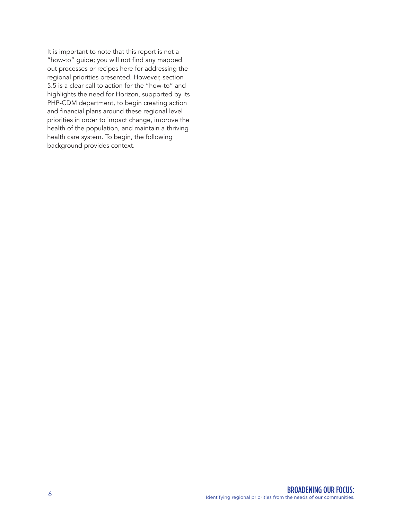It is important to note that this report is not a "how-to" guide; you will not find any mapped out processes or recipes here for addressing the regional priorities presented. However, section 5.5 is a clear call to action for the "how-to" and highlights the need for Horizon, supported by its PHP-CDM department, to begin creating action and financial plans around these regional level priorities in order to impact change, improve the health of the population, and maintain a thriving health care system. To begin, the following background provides context.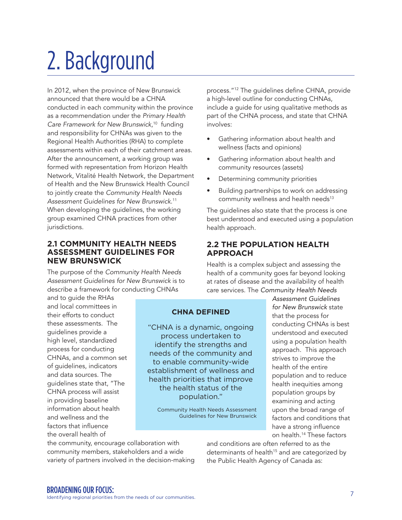## 2. Background

In 2012, when the province of New Brunswick announced that there would be a CHNA conducted in each community within the province as a recommendation under the *Primary Health Care Framework for New Brunswick*, 10 funding and responsibility for CHNAs was given to the Regional Health Authorities (RHA) to complete assessments within each of their catchment areas. After the announcement, a working group was formed with representation from Horizon Health Network, Vitalité Health Network, the Department of Health and the New Brunswick Health Council to jointly create the *Community Health Needs Assessment Guidelines for New Brunswick*. 11 When developing the guidelines, the working group examined CHNA practices from other jurisdictions.

#### **2.1 COMMUNITY HEALTH NEEDS ASSESSMENT GUIDELINES FOR NEW BRUNSWICK**

The purpose of the *Community Health Needs Assessment Guidelines for New Brunswick* is to describe a framework for conducting CHNAs

and to guide the RHAs and local committees in their efforts to conduct these assessments. The guidelines provide a high level, standardized process for conducting CHNAs, and a common set of guidelines, indicators and data sources. The guidelines state that, "The CHNA process will assist in providing baseline information about health and wellness and the factors that influence the overall health of

"CHNA is a dynamic, ongoing process undertaken to identify the strengths and needs of the community and to enable community-wide establishment of wellness and health priorities that improve the health status of the population."

**CHNA DEFINED** 

Community Health Needs Assessment Guidelines for New Brunswick

process."12 The guidelines define CHNA, provide a high-level outline for conducting CHNAs, include a guide for using qualitative methods as part of the CHNA process, and state that CHNA involves:

- Gathering information about health and wellness (facts and opinions)
- Gathering information about health and community resources (assets)
- Determining community priorities
- Building partnerships to work on addressing community wellness and health needs<sup>13</sup>

The guidelines also state that the process is one best understood and executed using a population health approach.

#### **2.2 THE POPULATION HEALTH APPROACH**

Health is a complex subject and assessing the health of a community goes far beyond looking at rates of disease and the availability of health care services. The *Community Health Needs* 

> *Assessment Guidelines for New Brunswick* state that the process for conducting CHNAs is best understood and executed using a population health approach. This approach strives to improve the health of the entire population and to reduce health inequities among population groups by examining and acting upon the broad range of factors and conditions that have a strong influence on health.14 These factors

the community, encourage collaboration with community members, stakeholders and a wide variety of partners involved in the decision-making and conditions are often referred to as the determinants of health<sup>15</sup> and are categorized by the Public Health Agency of Canada as: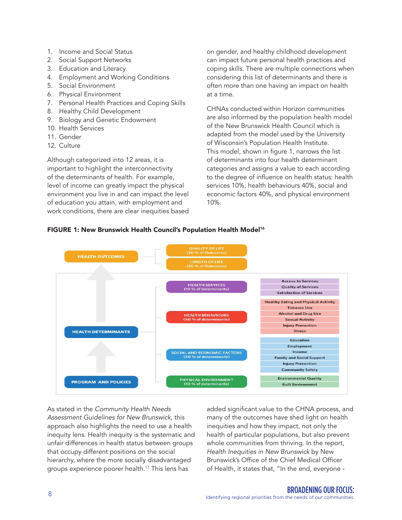- 1. Income and Social Status
- 2. Social Support Networks
- 3. Education and Literacy
- 4. Employment and Working Conditions
- 5. Social Environment
- 6. Physical Environment
- 7. Personal Health Practices and Coping Skills
- 8. Healthy Child Development
- 9. Biology and Genetic Endowment
- 10. Health Services
- 11. Gender
- 12. Culture

Although categorized into 12 areas, it is important to highlight the interconnectivity of the determinants of health. For example, level of income can greatly impact the physical environment you live in and can impact the level of education you attain, with employment and work conditions, there are clear inequities based on gender, and healthy childhood development can impact future personal health practices and coping skills. There are multiple connections when considering this list of determinants and there is often more than one having an impact on health at a time.

CHNAs conducted within Horizon communities are also informed by the population health model of the New Brunswick Health Council which is adapted from the model used by the University of Wisconsin's Population Health Institute. This model, shown in figure 1, narrows the list of determinants into four health determinant categories and assigns a value to each according to the degree of influence on health status: health services 10%, health behaviours 40%, social and economic factors 40%, and physical environment 10%.

#### FIGURE 1: New Brunswick Health Council's Population Health Model<sup>16</sup>



As stated in the *Community Health Needs Assessment Guidelines for New Brunswick*, this approach also highlights the need to use a health inequity lens. Health inequity is the systematic and unfair differences in health status between groups that occupy different positions on the social hierarchy, where the more socially disadvantaged groups experience poorer health.17 This lens has

added significant value to the CHNA process, and many of the outcomes have shed light on health inequities and how they impact, not only the health of particular populations, but also prevent whole communities from thriving. In the report, *Health Inequities in New Brunswick* by New Brunswick's Office of the Chief Medical Officer of Health, it states that, "In the end, everyone -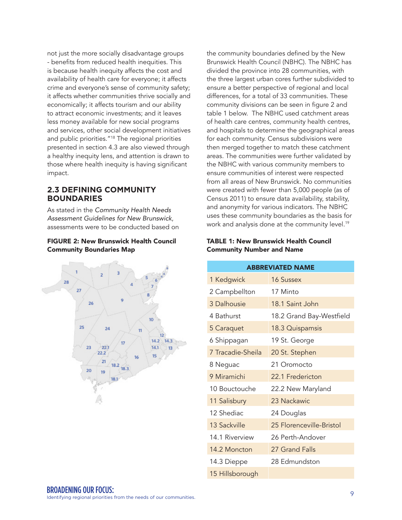not just the more socially disadvantage groups - benefits from reduced health inequities. This is because health inequity affects the cost and availability of health care for everyone; it affects crime and everyone's sense of community safety; it affects whether communities thrive socially and economically; it affects tourism and our ability to attract economic investments; and it leaves less money available for new social programs and services, other social development initiatives and public priorities."18 The regional priorities presented in section 4.3 are also viewed through a healthy inequity lens, and attention is drawn to those where health inequity is having significant impact.

#### **2.3 DEFINING COMMUNITY BOUNDARIES**

As stated in the *Community Health Needs Assessment Guidelines for New Brunswick*, assessments were to be conducted based on

#### FIGURE 2: New Brunswick Health Council Community Boundaries Map



the community boundaries defined by the New Brunswick Health Council (NBHC). The NBHC has divided the province into 28 communities, with the three largest urban cores further subdivided to ensure a better perspective of regional and local differences, for a total of 33 communities. These community divisions can be seen in figure 2 and table 1 below. The NBHC used catchment areas of health care centres, community health centres, and hospitals to determine the geographical areas for each community. Census subdivisions were then merged together to match these catchment areas. The communities were further validated by the NBHC with various community members to ensure communities of interest were respected from all areas of New Brunswick. No communities were created with fewer than 5,000 people (as of Census 2011) to ensure data availability, stability, and anonymity for various indicators. The NBHC uses these community boundaries as the basis for work and analysis done at the community level.<sup>19</sup>

#### TABLE 1: New Brunswick Health Council Community Number and Name

| <b>ABBREVIATED NAME</b> |                          |  |  |  |  |
|-------------------------|--------------------------|--|--|--|--|
| 1 Kedgwick              | 16 Sussex                |  |  |  |  |
| 2 Campbellton           | 17 Minto                 |  |  |  |  |
| 3 Dalhousie             | 18.1 Saint John          |  |  |  |  |
| 4 Bathurst              | 18.2 Grand Bay-Westfield |  |  |  |  |
| 5 Caraquet              | 18.3 Quispamsis          |  |  |  |  |
| 6 Shippagan             | 19 St. George            |  |  |  |  |
| 7 Tracadie-Sheila       | 20 St. Stephen           |  |  |  |  |
| 8 Neguac                | 21 Oromocto              |  |  |  |  |
| 9 Miramichi             | 22.1 Fredericton         |  |  |  |  |
| 10 Bouctouche           | 22.2 New Maryland        |  |  |  |  |
| 11 Salisbury            | 23 Nackawic              |  |  |  |  |
| 12 Shediac              | 24 Douglas               |  |  |  |  |
| 13 Sackville            | 25 Florenceville-Bristol |  |  |  |  |
| 14.1 Riverview          | 26 Perth-Andover         |  |  |  |  |
| 14.2 Moncton            | 27 Grand Falls           |  |  |  |  |
| 14.3 Dieppe             | 28 Edmundston            |  |  |  |  |
| 15 Hillsborough         |                          |  |  |  |  |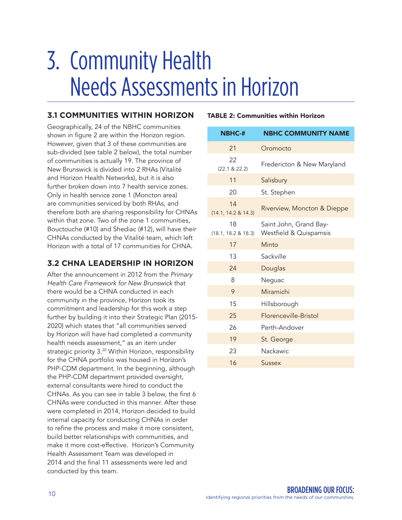## 3. Community Health Needs Assessments in Horizon

#### **3.1 COMMUNITIES WITHIN HORIZON**

Geographically, 24 of the NBHC communities shown in figure 2 are within the Horizon region. However, given that 3 of these communities are sub-divided (see table 2 below), the total number of communities is actually 19. The province of New Brunswick is divided into 2 RHAs (Vitalité and Horizon Health Networks), but it is also further broken down into 7 health service zones. Only in health service zone 1 (Moncton area) are communities serviced by both RHAs, and therefore both are sharing responsibility for CHNAs within that zone. Two of the zone 1 communities, Bouctouche (#10) and Shediac (#12), will have their CHNAs conducted by the Vitalité team, which left Horizon with a total of 17 communities for CHNA.

#### **3.2 CHNA LEADERSHIP IN HORIZON**

After the announcement in 2012 from the *Primary Health Care Framework for New Brunswick* that there would be a CHNA conducted in each community in the province, Horizon took its commitment and leadership for this work a step further by building it into their Strategic Plan (2015- 2020) which states that "all communities served by Horizon will have had completed a community health needs assessment," as an item under strategic priority 3.<sup>20</sup> Within Horizon, responsibility for the CHNA portfolio was housed in Horizon's PHP-CDM department. In the beginning, although the PHP-CDM department provided oversight, external consultants were hired to conduct the CHNAs. As you can see in table 3 below, the first 6 CHNAs were conducted in this manner. After these were completed in 2014, Horizon decided to build internal capacity for conducting CHNAs in order to refine the process and make it more consistent, build better relationships with communities, and make it more cost-effective. Horizon's Community Health Assessment Team was developed in 2014 and the final 11 assessments were led and conducted by this team.

#### TABLE 2: Communities within Horizon

| <b>NBHC-#</b>             | <b>NBHC COMMUNITY NAME</b>                                  |  |  |  |  |
|---------------------------|-------------------------------------------------------------|--|--|--|--|
| 21                        | Oromocto                                                    |  |  |  |  |
| 22<br>(22.1 & 22.2)       | Fredericton & New Maryland                                  |  |  |  |  |
| 11                        | Salisbury                                                   |  |  |  |  |
| 20                        | St. Stephen                                                 |  |  |  |  |
| 14<br>(14.1, 14.2 & 14.3) | Riverview, Moncton & Dieppe                                 |  |  |  |  |
| 18<br>(18.1, 18.2 & 18.3) | Saint John, Grand Bay-<br><b>Westfield &amp; Quispamsis</b> |  |  |  |  |
| 17                        | Minto                                                       |  |  |  |  |
| 13                        | Sackville                                                   |  |  |  |  |
| 24                        | Douglas                                                     |  |  |  |  |
| 8                         | Neguac                                                      |  |  |  |  |
| 9                         | Miramichi                                                   |  |  |  |  |
| 15                        | Hillsborough                                                |  |  |  |  |
| 25                        | Florenceville-Bristol                                       |  |  |  |  |
| 26                        | Perth-Andover                                               |  |  |  |  |
| 19                        | St. George                                                  |  |  |  |  |
| 23                        | Nackawic                                                    |  |  |  |  |
| 16                        | Sussex                                                      |  |  |  |  |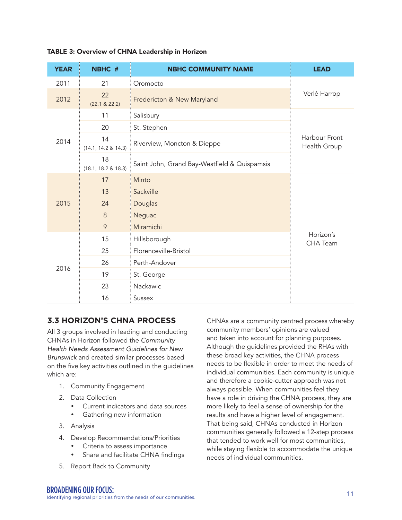| <b>YEAR</b>                 | NBHC #                    | <b>NBHC COMMUNITY NAME</b>                                   | <b>LEAD</b>                  |  |  |  |
|-----------------------------|---------------------------|--------------------------------------------------------------|------------------------------|--|--|--|
| 2011                        | 21                        | Oromocto                                                     |                              |  |  |  |
| 22<br>2012<br>(22.1 & 22.2) |                           | Fredericton & New Maryland                                   | Verlé Harrop                 |  |  |  |
|                             | 11                        | Salisbury                                                    |                              |  |  |  |
|                             | 20                        | St. Stephen                                                  |                              |  |  |  |
| 2014                        | 14<br>(14.1, 14.2 & 14.3) | Harbour Front<br>Riverview, Moncton & Dieppe<br>Health Group |                              |  |  |  |
|                             | 18<br>(18.1, 18.2 & 18.3) | Saint John, Grand Bay-Westfield & Quispamsis                 |                              |  |  |  |
|                             | 17                        | Minto                                                        |                              |  |  |  |
|                             | 13                        | Sackville                                                    |                              |  |  |  |
| 2015                        | 24                        | Douglas                                                      |                              |  |  |  |
|                             | $\,8\,$                   | Neguac                                                       |                              |  |  |  |
|                             | 9                         | Miramichi                                                    |                              |  |  |  |
|                             | 15                        | Hillsborough                                                 | Horizon's<br><b>CHA Team</b> |  |  |  |
|                             | 25                        | Florenceville-Bristol                                        |                              |  |  |  |
| 2016                        | 26                        | Perth-Andover                                                |                              |  |  |  |
|                             | 19                        | St. George                                                   |                              |  |  |  |
|                             | 23                        | Nackawic                                                     |                              |  |  |  |
|                             | 16                        | Sussex                                                       |                              |  |  |  |

#### TABLE 3: Overview of CHNA Leadership in Horizon

#### **3.3 HORIZON'S CHNA PROCESS**

All 3 groups involved in leading and conducting CHNAs in Horizon followed the *Community Health Needs Assessment Guidelines for New Brunswick* and created similar processes based on the five key activities outlined in the guidelines which are:

- 1. Community Engagement
- 2. Data Collection
	- y Current indicators and data sources
	- Gathering new information
- 3. Analysis
- 4. Develop Recommendations/Priorities
	- Criteria to assess importance
	- Share and facilitate CHNA findings
- 5. Report Back to Community

CHNAs are a community centred process whereby community members' opinions are valued and taken into account for planning purposes. Although the guidelines provided the RHAs with these broad key activities, the CHNA process needs to be flexible in order to meet the needs of individual communities. Each community is unique and therefore a cookie-cutter approach was not always possible. When communities feel they have a role in driving the CHNA process, they are more likely to feel a sense of ownership for the results and have a higher level of engagement. That being said, CHNAs conducted in Horizon communities generally followed a 12-step process that tended to work well for most communities, while staying flexible to accommodate the unique needs of individual communities.

EXAMENING OUR FOCUS:<br>Identifying regional priorities from the needs of our communities.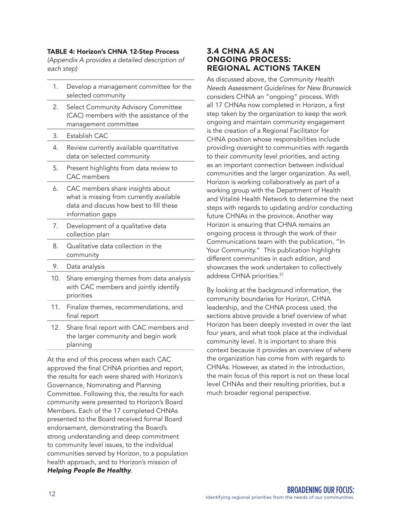#### TABLE 4: Horizon's CHNA 12-Step Process

*(Appendix A provides a detailed description of each step)* 

- 1. Develop a management committee for the selected community
- 2. Select Community Advisory Committee (CAC) members with the assistance of the management committee
- 3. Establish CAC
- 4. Review currently available quantitative data on selected community
- 5. Present highlights from data review to CAC members
- 6. CAC members share insights about what is missing from currently available data and discuss how best to fill these information gaps
- 7. Development of a qualitative data collection plan
- 8. Qualitative data collection in the community
- 9. Data analysis
- 10. Share emerging themes from data analysis with CAC members and jointly identify priorities
- 11. Finalize themes, recommendations, and final report
- 12. Share final report with CAC members and the larger community and begin work planning

At the end of this process when each CAC approved the final CHNA priorities and report, the results for each were shared with Horizon's Governance, Nominating and Planning Committee. Following this, the results for each community were presented to Horizon's Board Members. Each of the 17 completed CHNAs presented to the Board received formal Board endorsement, demonstrating the Board's strong understanding and deep commitment to community level issues, to the individual communities served by Horizon, to a population health approach, and to Horizon's mission of *Helping People Be Healthy*.

#### **3.4 CHNA AS AN ONGOING PROCESS: REGIONAL ACTIONS TAKEN**

As discussed above, the *Community Health Needs Assessment Guidelines for New Brunswick* considers CHNA an "ongoing" process. With all 17 CHNAs now completed in Horizon, a first step taken by the organization to keep the work ongoing and maintain community engagement is the creation of a Regional Facilitator for CHNA position whose responsibilities include providing oversight to communities with regards to their community level priorities, and acting as an important connection between individual communities and the larger organization. As well, Horizon is working collaboratively as part of a working group with the Department of Health and Vitalité Health Network to determine the next steps with regards to updating and/or conducting future CHNAs in the province. Another way Horizon is ensuring that CHNA remains an ongoing process is through the work of their Communications team with the publication, "In Your Community." This publication highlights different communities in each edition, and showcases the work undertaken to collectively address CHNA priorities.<sup>21</sup>

By looking at the background information, the community boundaries for Horizon, CHNA leadership, and the CHNA process used, the sections above provide a brief overview of what Horizon has been deeply invested in over the last four years, and what took place at the individual community level. It is important to share this context because it provides an overview of where the organization has come from with regards to CHNAs. However, as stated in the introduction, the main focus of this report is not on these local level CHNAs and their resulting priorities, but a much broader regional perspective.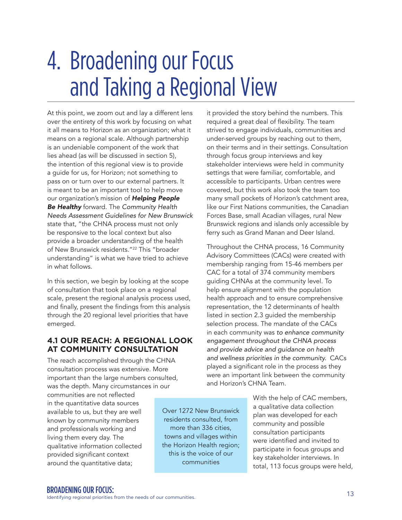## 4. Broadening our Focus and Taking a Regional View

At this point, we zoom out and lay a different lens over the entirety of this work by focusing on what it all means to Horizon as an organization; what it means on a regional scale. Although partnership is an undeniable component of the work that lies ahead (as will be discussed in section 5), the intention of this regional view is to provide a guide for us, for Horizon; not something to pass on or turn over to our external partners. It is meant to be an important tool to help move our organization's mission of *Helping People Be Healthy* forward. The *Community Health Needs Assessment Guidelines for New Brunswick*  state that, "the CHNA process must not only be responsive to the local context but also provide a broader understanding of the health of New Brunswick residents."<sup>22</sup> This "broader understanding" is what we have tried to achieve in what follows.

In this section, we begin by looking at the scope of consultation that took place on a regional scale, present the regional analysis process used, and finally, present the findings from this analysis through the 20 regional level priorities that have emerged.

#### **4.1 OUR REACH: A REGIONAL LOOK AT COMMUNITY CONSULTATION**

The reach accomplished through the CHNA consultation process was extensive. More important than the large numbers consulted, was the depth. Many circumstances in our

communities are not reflected in the quantitative data sources available to us, but they are well known by community members and professionals working and living them every day. The qualitative information collected provided significant context around the quantitative data;

it provided the story behind the numbers. This required a great deal of flexibility. The team strived to engage individuals, communities and under-served groups by reaching out to them, on their terms and in their settings. Consultation through focus group interviews and key stakeholder interviews were held in community settings that were familiar, comfortable, and accessible to participants. Urban centres were covered, but this work also took the team too many small pockets of Horizon's catchment area, like our First Nations communities, the Canadian Forces Base, small Acadian villages, rural New Brunswick regions and islands only accessible by ferry such as Grand Manan and Deer Island.

Throughout the CHNA process, 16 Community Advisory Committees (CACs) were created with membership ranging from 15-46 members per CAC for a total of 374 community members guiding CHNAs at the community level. To help ensure alignment with the population health approach and to ensure comprehensive representation, the 12 determinants of health listed in section 2.3 guided the membership selection process. The mandate of the CACs in each community was *to enhance community engagement throughout the CHNA process and provide advice and guidance on health and wellness priorities in the community.* CACs played a significant role in the process as they were an important link between the community and Horizon's CHNA Team.

> With the help of CAC members, a qualitative data collection plan was developed for each community and possible consultation participants were identified and invited to participate in focus groups and key stakeholder interviews. In total, 113 focus groups were held,

Over 1272 New Brunswick residents consulted, from more than 336 cities, towns and villages within the Horizon Health region; this is the voice of our communities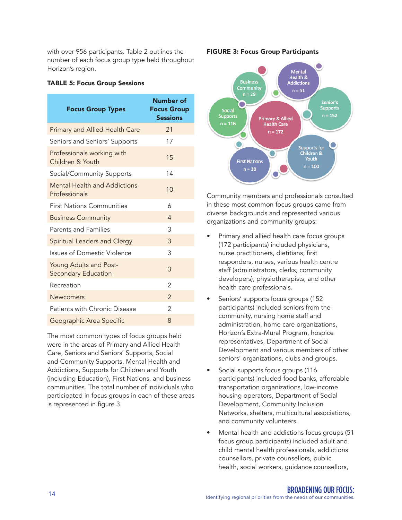with over 956 participants. Table 2 outlines the number of each focus group type held throughout Horizon's region.

#### TABLE 5: Focus Group Sessions

| <b>Focus Group Types</b>                             | Number of<br><b>Focus Group</b><br><b>Sessions</b> |
|------------------------------------------------------|----------------------------------------------------|
| <b>Primary and Allied Health Care</b>                | 21                                                 |
| Seniors and Seniors' Supports                        | 17                                                 |
| Professionals working with<br>Children & Youth       | 15                                                 |
| Social/Community Supports                            | 14                                                 |
| <b>Mental Health and Addictions</b><br>Professionals | 10                                                 |
| <b>First Nations Communities</b>                     | 6                                                  |
| <b>Business Community</b>                            | 4                                                  |
| <b>Parents and Families</b>                          | 3                                                  |
| Spiritual Leaders and Clergy                         | 3                                                  |
| <b>Issues of Domestic Violence</b>                   | 3                                                  |
| Young Adults and Post-<br><b>Secondary Education</b> | 3                                                  |
| Recreation                                           | $\mathfrak{D}$                                     |
| <b>Newcomers</b>                                     | $\overline{\phantom{0}}$                           |
| Patients with Chronic Disease                        | 2                                                  |
| Geographic Area Specific                             | 8                                                  |

The most common types of focus groups held were in the areas of Primary and Allied Health Care, Seniors and Seniors' Supports, Social and Community Supports, Mental Health and Addictions, Supports for Children and Youth (including Education), First Nations, and business communities. The total number of individuals who participated in focus groups in each of these areas is represented in figure 3.

#### FIGURE 3: Focus Group Participants



Community members and professionals consulted in these most common focus groups came from diverse backgrounds and represented various organizations and community groups:

- Primary and allied health care focus groups (172 participants) included physicians, nurse practitioners, dietitians, first responders, nurses, various health centre staff (administrators, clerks, community developers), physiotherapists, and other health care professionals.
- Seniors' supports focus groups (152) participants) included seniors from the community, nursing home staff and administration, home care organizations, Horizon's Extra-Mural Program, hospice representatives, Department of Social Development and various members of other seniors' organizations, clubs and groups.
- Social supports focus groups (116 participants) included food banks, affordable transportation organizations, low-income housing operators, Department of Social Development, Community Inclusion Networks, shelters, multicultural associations, and community volunteers.
- Mental health and addictions focus groups (51 focus group participants) included adult and child mental health professionals, addictions counsellors, private counsellors, public health, social workers, guidance counsellors,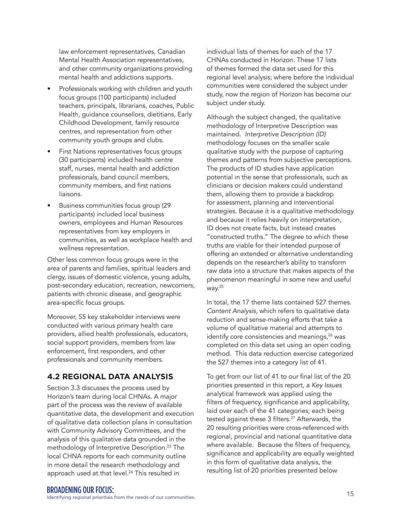law enforcement representatives, Canadian Mental Health Association representatives, and other community organizations providing mental health and addictions supports.

- Professionals working with children and youth focus groups (100 participants) included teachers, principals, librarians, coaches, Public Health, guidance counsellors, dietitians, Early Childhood Development, family resource centres, and representation from other community youth groups and clubs.
- First Nations representatives focus groups (30 participants) included health centre staff, nurses, mental health and addiction professionals, band council members, community members, and first nations liaisons.
- Business communities focus group (29 participants) included local business owners, employees and Human Resources representatives from key employers in communities, as well as workplace health and wellness representation.

Other less common focus groups were in the area of parents and families, spiritual leaders and clergy, issues of domestic violence, young adults, post-secondary education, recreation, newcomers, patients with chronic disease, and geographic area-specific focus groups.

Moreover, 55 key stakeholder interviews were conducted with various primary health care providers, allied health professionals, educators, social support providers, members from law enforcement, first responders, and other professionals and community members.

#### **4.2 REGIONAL DATA ANALYSIS**

Section 3.3 discusses the process used by Horizon's team during local CHNAs. A major part of the process was the review of available quantitative data, the development and execution of qualitative data collection plans in consultation with Community Advisory Committees, and the analysis of this qualitative data grounded in the methodology of Interpretive Description.23 The local CHNA reports for each community outline in more detail the research methodology and approach used at that level.<sup>24</sup> This resulted in

individual lists of themes for each of the 17 CHNAs conducted in Horizon. These 17 lists of themes formed the data set used for this regional level analysis; where before the individual communities were considered the subject under study, now the region of Horizon has become our subject under study.

Although the subject changed, the qualitative methodology of Interpretive Description was maintained. *Interpretive Description (ID)* methodology focuses on the smaller scale qualitative study with the purpose of capturing themes and patterns from subjective perceptions. The products of ID studies have application potential in the sense that professionals, such as clinicians or decision makers could understand them, allowing them to provide a backdrop for assessment, planning and interventional strategies. Because it is a qualitative methodology and because it relies heavily on interpretation, ID does not create facts, but instead creates "constructed truths." The degree to which these truths are viable for their intended purpose of offering an extended or alternative understanding depends on the researcher's ability to transform raw data into a structure that makes aspects of the phenomenon meaningful in some new and useful way.25

In total, the 17 theme lists contained 527 themes. *Content Analysis*, which refers to qualitative data reduction and sense-making efforts that take a volume of qualitative material and attempts to identify core consistencies and meanings,<sup>26</sup> was completed on this data set using an open coding method. This data reduction exercise categorized the 527 themes into a category list of 41.

To get from our list of 41 to our final list of the 20 priorities presented in this report, a *Key Issues* analytical framework was applied using the filters of frequency, significance and applicability, laid over each of the 41 categories; each being tested against these 3 filters.<sup>27</sup> Afterwards, the 20 resulting priorities were cross-referenced with regional, provincial and national quantitative data where available. Because the filters of frequency, significance and applicability are equally weighted in this form of qualitative data analysis, the resulting list of 20 priorities presented below

EXAMENING OUR FOCUS:<br>Identifying regional priorities from the needs of our communities.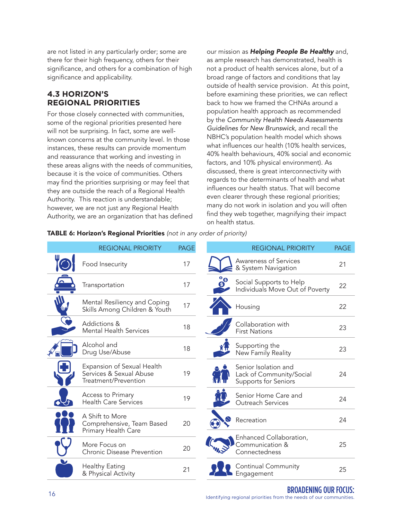are not listed in any particularly order; some are there for their high frequency, others for their significance, and others for a combination of high significance and applicability.

#### **4.3 HORIZON'S REGIONAL PRIORITIES**

For those closely connected with communities, some of the regional priorities presented here will not be surprising. In fact, some are wellknown concerns at the community level. In those instances, these results can provide momentum and reassurance that working and investing in these areas aligns with the needs of communities, because it is the voice of communities. Others may find the priorities surprising or may feel that they are outside the reach of a Regional Health Authority. This reaction is understandable; however, we are not just any Regional Health Authority, we are an organization that has defined our mission as *Helping People Be Healthy* and, as ample research has demonstrated, health is not a product of health services alone, but of a broad range of factors and conditions that lay outside of health service provision. At this point, before examining these priorities, we can reflect back to how we framed the CHNAs around a population health approach as recommended by the *Community Health Needs Assessments Guidelines for New Brunswick,* and recall the NBHC's population health model which shows what influences our health (10% health services, 40% health behaviours, 40% social and economic factors, and 10% physical environment). As discussed, there is great interconnectivity with regards to the determinants of health and what influences our health status. That will become even clearer through these regional priorities; many do not work in isolation and you will often find they web together, magnifying their impact on health status.

#### TABLE 6: Horizon's Regional Priorities *(not in any order of priority)*

|                                     | <b>REGIONAL PRIORITY</b>                                                      | <b>PAGE</b> |                               | <b>REGIONAL PRIORITY</b>                                                 | PAG |
|-------------------------------------|-------------------------------------------------------------------------------|-------------|-------------------------------|--------------------------------------------------------------------------|-----|
|                                     | Food Insecurity                                                               | 17          |                               | Awareness of Services<br>& System Navigation                             | 21  |
|                                     | Transportation                                                                | 17          | $\overset{\circ}{\mathbf{9}}$ | Social Supports to Help<br>Individuals Move Out of Poverty               | 22  |
| $\overline{\bm{w}}$<br>$\eta_{ll'}$ | Mental Resiliency and Coping<br>Skills Among Children & Youth                 | 17          |                               | Housing                                                                  | 22  |
|                                     | Addictions &<br><b>Mental Health Services</b>                                 | 18          |                               | Collaboration with<br><b>First Nations</b>                               | 23  |
|                                     | Alcohol and<br>Drug Use/Abuse                                                 | 18          |                               | Supporting the<br>New Family Reality                                     | 23  |
|                                     | Expansion of Sexual Health<br>Services & Sexual Abuse<br>Treatment/Prevention | 19          |                               | Senior Isolation and<br>Lack of Community/Social<br>Supports for Seniors | 24  |
|                                     | Access to Primary<br><b>Health Care Services</b>                              | 19          |                               | Senior Home Care and<br>Outreach Services                                | 24  |
|                                     | A Shift to More<br>Comprehensive, Team Based<br>Primary Health Care           | 20          |                               | Recreation                                                               | 24  |
|                                     | More Focus on<br><b>Chronic Disease Prevention</b>                            | 20          |                               | Enhanced Collaboration,<br>Communication &<br>Connectedness              | 25  |
|                                     | Healthy Eating<br>& Physical Activity                                         | 21          |                               | Continual Community<br>Engagement                                        | 25  |

PRIORITY PAGE

24

25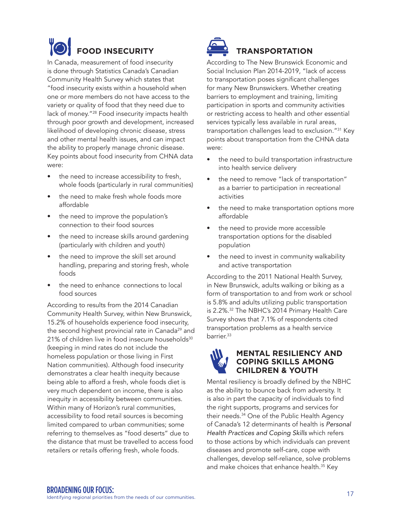### **FOOD INSECURITY**

In Canada, measurement of food insecurity is done through Statistics Canada's Canadian Community Health Survey which states that "food insecurity exists within a household when one or more members do not have access to the variety or quality of food that they need due to lack of money."28 Food insecurity impacts health through poor growth and development, increased likelihood of developing chronic disease, stress and other mental health issues, and can impact the ability to properly manage chronic disease. Key points about food insecurity from CHNA data were:

- the need to increase accessibility to fresh, whole foods (particularly in rural communities)
- the need to make fresh whole foods more affordable
- the need to improve the population's connection to their food sources
- the need to increase skills around gardening (particularly with children and youth)
- the need to improve the skill set around handling, preparing and storing fresh, whole foods
- the need to enhance connections to local food sources

According to results from the 2014 Canadian Community Health Survey, within New Brunswick, 15.2% of households experience food insecurity, the second highest provincial rate in Canada<sup>29</sup> and 21% of children live in food insecure households<sup>30</sup> (keeping in mind rates do not include the homeless population or those living in First Nation communities). Although food insecurity demonstrates a clear health inequity because being able to afford a fresh, whole foods diet is very much dependent on income, there is also inequity in accessibility between communities. Within many of Horizon's rural communities, accessibility to food retail sources is becoming limited compared to urban communities; some referring to themselves as "food deserts" due to the distance that must be travelled to access food retailers or retails offering fresh, whole foods.



### **TRANSPORTATION**

According to The New Brunswick Economic and Social Inclusion Plan 2014-2019, "lack of access to transportation poses significant challenges for many New Brunswickers. Whether creating barriers to employment and training, limiting participation in sports and community activities or restricting access to health and other essential services typically less available in rural areas, transportation challenges lead to exclusion."31 Key points about transportation from the CHNA data were:

- the need to build transportation infrastructure into health service delivery
- the need to remove "lack of transportation" as a barrier to participation in recreational activities
- the need to make transportation options more affordable
- the need to provide more accessible transportation options for the disabled population
- the need to invest in community walkability and active transportation

According to the 2011 National Health Survey, in New Brunswick, adults walking or biking as a form of transportation to and from work or school is 5.8% and adults utilizing public transportation is 2.2%.32 The NBHC's 2014 Primary Health Care Survey shows that 7.1% of respondents cited transportation problems as a health service barrier.<sup>33</sup>



#### **MENTAL RESILIENCY AND COPING SKILLS AMONG CHILDREN & YOUTH**

Mental resiliency is broadly defined by the NBHC as the ability to bounce back from adversity. It is also in part the capacity of individuals to find the right supports, programs and services for their needs.34 One of the Public Health Agency of Canada's 12 determinants of health is *Personal Health Practices and Coping Skills* which refers to those actions by which individuals can prevent diseases and promote self-care, cope with challenges, develop self-reliance, solve problems and make choices that enhance health.<sup>35</sup> Key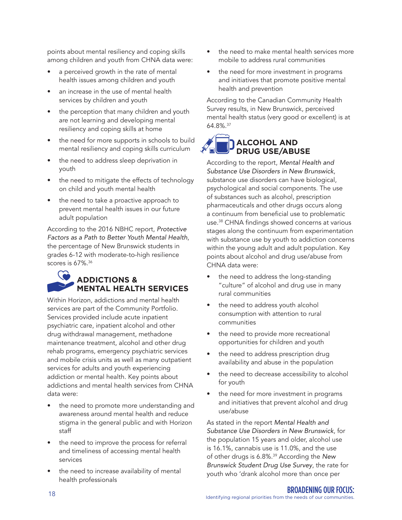points about mental resiliency and coping skills among children and youth from CHNA data were:

- a perceived growth in the rate of mental health issues among children and youth
- an increase in the use of mental health services by children and youth
- the perception that many children and youth are not learning and developing mental resiliency and coping skills at home
- the need for more supports in schools to build mental resiliency and coping skills curriculum
- the need to address sleep deprivation in youth
- the need to mitigate the effects of technology on child and youth mental health
- the need to take a proactive approach to prevent mental health issues in our future adult population

According to the 2016 NBHC report, *Protective Factors as a Path to Better Youth Mental Health*, the percentage of New Brunswick students in grades 6-12 with moderate-to-high resilience scores is 67%.<sup>36</sup>

### **ADDICTIONS & MENTAL HEALTH SERVICES**

Within Horizon, addictions and mental health services are part of the Community Portfolio. Services provided include acute inpatient psychiatric care, inpatient alcohol and other drug withdrawal management, methadone maintenance treatment, alcohol and other drug rehab programs, emergency psychiatric services and mobile crisis units as well as many outpatient services for adults and youth experiencing addiction or mental health. Key points about addictions and mental health services from CHNA data were:

- the need to promote more understanding and awareness around mental health and reduce stigma in the general public and with Horizon staff
- the need to improve the process for referral and timeliness of accessing mental health services
- the need to increase availability of mental health professionals
- the need to make mental health services more mobile to address rural communities
- the need for more investment in programs and initiatives that promote positive mental health and prevention

According to the Canadian Community Health Survey results, in New Brunswick, perceived mental health status (very good or excellent) is at 64.8%.37

### **ALCOHOL AND DRUG USE/ABUSE**

According to the report, *Mental Health and Substance Use Disorders in New Brunswick*, substance use disorders can have biological, psychological and social components. The use of substances such as alcohol, prescription pharmaceuticals and other drugs occurs along a continuum from beneficial use to problematic use.38 CHNA findings showed concerns at various stages along the continuum from experimentation with substance use by youth to addiction concerns within the young adult and adult population. Key points about alcohol and drug use/abuse from CHNA data were:

- the need to address the long-standing "culture" of alcohol and drug use in many rural communities
- the need to address youth alcohol consumption with attention to rural communities
- the need to provide more recreational opportunities for children and youth
- the need to address prescription drug availability and abuse in the population
- the need to decrease accessibility to alcohol for youth
- the need for more investment in programs and initiatives that prevent alcohol and drug use/abuse

As stated in the report *Mental Health and Substance Use Disorders in New Brunswick*, for the population 15 years and older, alcohol use is 16.1%, cannabis use is 11.0%, and the use of other drugs is 6.8%.39 According the *New Brunswick Student Drug Use Survey*, the rate for youth who 'drank alcohol more than once per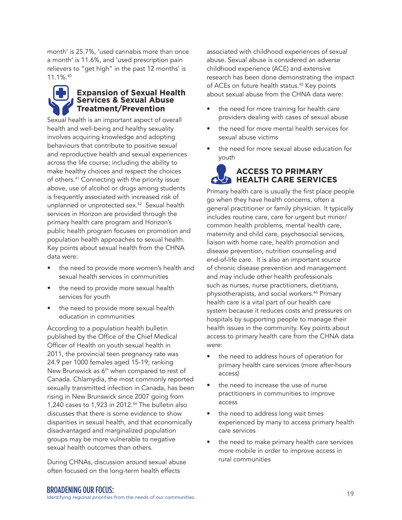month' is 25.7%, 'used cannabis more than once a month' is 11.6%, and 'used prescription pain relievers to "get high" in the past 12 months' is 11.1%.40

#### **Expansion of Sexual Health Services & Sexual Abuse Treatment/Prevention**

Sexual health is an important aspect of overall health and well-being and healthy sexuality involves acquiring knowledge and adopting behaviours that contribute to positive sexual and reproductive health and sexual experiences across the life course; including the ability to make healthy choices and respect the choices of others.41 Connecting with the priority issue above, use of alcohol or drugs among students is frequently associated with increased risk of unplanned or unprotected sex.42 Sexual health services in Horizon are provided through the primary health care program and Horizon's public health program focuses on promotion and population health approaches to sexual health. Key points about sexual health from the CHNA data were:

- the need to provide more women's health and sexual health services in communities
- the need to provide more sexual health services for youth
- the need to provide more sexual health education in communities

According to a population health bulletin published by the Office of the Chief Medical Officer of Health on youth sexual health in 2011, the provincial teen pregnancy rate was 24.9 per 1000 females aged 15-19; ranking New Brunswick as 6<sup>th</sup> when compared to rest of Canada. Chlamydia, the most commonly reported sexually transmitted infection in Canada, has been rising in New Brunswick since 2007 going from 1,240 cases to 1,923 in 2012.44 The bulletin also discusses that there is some evidence to show disparities in sexual health, and that economically disadvantaged and marginalized population groups may be more vulnerable to negative sexual health outcomes than others.

During CHNAs, discussion around sexual abuse often focused on the long-term health effects

associated with childhood experiences of sexual abuse. Sexual abuse is considered an adverse childhood experience (ACE) and extensive research has been done demonstrating the impact of ACEs on future health status.<sup>45</sup> Key points about sexual abuse from the CHNA data were:

- the need for more training for health care providers dealing with cases of sexual abuse
- the need for more mental health services for sexual abuse victims
- the need for more sexual abuse education for youth

### **ACCESS TO PRIMARY HEALTH CARE SERVICES**

Primary health care is usually the first place people go when they have health concerns, often a general practitioner or family physician. It typically includes routine care, care for urgent but minor/ common health problems, mental health care, maternity and child care, psychosocial services, liaison with home care, health promotion and disease prevention, nutrition counseling and end-of-life care. It is also an important source of chronic disease prevention and management and may include other health professionals such as nurses, nurse practitioners, dietitians, physiotherapists, and social workers.46 Primary health care is a vital part of our health care system because it reduces costs and pressures on hospitals by supporting people to manage their health issues in the community. Key points about access to primary health care from the CHNA data were:

- the need to address hours of operation for primary health care services (more after-hours access)
- the need to increase the use of nurse practitioners in communities to improve access
- the need to address long wait times experienced by many to access primary health care services
- the need to make primary health care services more mobile in order to improve access in rural communities

EXAMENING OUR FOCUS:<br>Identifying regional priorities from the needs of our communities.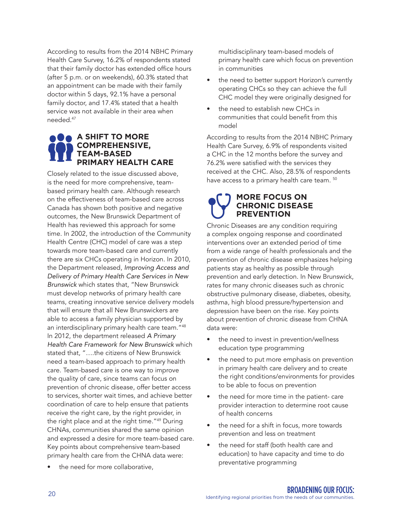According to results from the 2014 NBHC Primary Health Care Survey, 16.2% of respondents stated that their family doctor has extended office hours (after 5 p.m. or on weekends), 60.3% stated that an appointment can be made with their family doctor within 5 days, 92.1% have a personal family doctor, and 17.4% stated that a health service was not available in their area when needed.47

#### **A SHIFT TO MORE COMPREHENSIVE, TEAM-BASED PRIMARY HEALTH CARE**

Closely related to the issue discussed above, is the need for more comprehensive, teambased primary health care. Although research on the effectiveness of team-based care across Canada has shown both positive and negative outcomes, the New Brunswick Department of Health has reviewed this approach for some time. In 2002, the introduction of the Community Health Centre (CHC) model of care was a step towards more team-based care and currently there are six CHCs operating in Horizon. In 2010, the Department released, *Improving Access and Delivery of Primary Health Care Services in New Brunswick* which states that, "New Brunswick must develop networks of primary health care teams, creating innovative service delivery models that will ensure that all New Brunswickers are able to access a family physician supported by an interdisciplinary primary health care team."48 In 2012, the department released *A Primary Health Care Framework for New Brunswick* which stated that, "….the citizens of New Brunswick need a team-based approach to primary health care. Team-based care is one way to improve the quality of care, since teams can focus on prevention of chronic disease, offer better access to services, shorter wait times, and achieve better coordination of care to help ensure that patients receive the right care, by the right provider, in the right place and at the right time."49 During CHNAs, communities shared the same opinion and expressed a desire for more team-based care. Key points about comprehensive team-based primary health care from the CHNA data were:

the need for more collaborative.

multidisciplinary team-based models of primary health care which focus on prevention in communities

- the need to better support Horizon's currently operating CHCs so they can achieve the full CHC model they were originally designed for
- the need to establish new CHCs in communities that could benefit from this model

According to results from the 2014 NBHC Primary Health Care Survey, 6.9% of respondents visited a CHC in the 12 months before the survey and 76.2% were satisfied with the services they received at the CHC. Also, 28.5% of respondents have access to a primary health care team.  $50$ 

#### **MORE FOCUS ON CHRONIC DISEASE PREVENTION**

Chronic Diseases are any condition requiring a complex ongoing response and coordinated interventions over an extended period of time from a wide range of health professionals and the prevention of chronic disease emphasizes helping patients stay as healthy as possible through prevention and early detection. In New Brunswick, rates for many chronic diseases such as chronic obstructive pulmonary disease, diabetes, obesity, asthma, high blood pressure/hypertension and depression have been on the rise. Key points about prevention of chronic disease from CHNA data were:

- the need to invest in prevention/wellness education type programming
- the need to put more emphasis on prevention in primary health care delivery and to create the right conditions/environments for provides to be able to focus on prevention
- the need for more time in the patient- care provider interaction to determine root cause of health concerns
- the need for a shift in focus, more towards prevention and less on treatment
- the need for staff (both health care and education) to have capacity and time to do preventative programming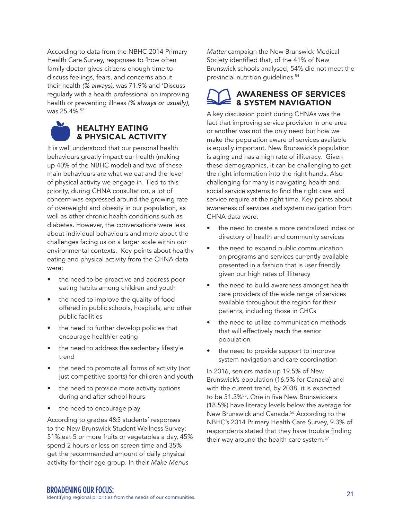According to data from the NBHC 2014 Primary Health Care Survey, responses to 'how often family doctor gives citizens enough time to discuss feelings, fears, and concerns about their health *(% always),* was 71.9% and 'Discuss regularly with a health professional on improving health or preventing illness *(% always or usually),* was 25.4%.<sup>52</sup>



It is well understood that our personal health behaviours greatly impact our health (making up 40% of the NBHC model) and two of these main behaviours are what we eat and the level of physical activity we engage in. Tied to this priority, during CHNA consultation, a lot of concern was expressed around the growing rate of overweight and obesity in our population, as well as other chronic health conditions such as diabetes. However, the conversations were less about individual behaviours and more about the challenges facing us on a larger scale within our environmental contexts. Key points about healthy eating and physical activity from the CHNA data were:

- the need to be proactive and address poor eating habits among children and youth
- the need to improve the quality of food offered in public schools, hospitals, and other public facilities
- the need to further develop policies that encourage healthier eating
- the need to address the sedentary lifestyle trend
- the need to promote all forms of activity (not just competitive sports) for children and youth
- the need to provide more activity options during and after school hours
- the need to encourage play

According to grades 4&5 students' responses to the New Brunswick Student Wellness Survey: 51% eat 5 or more fruits or vegetables a day, 45% spend 2 hours or less on screen time and 35% get the recommended amount of daily physical activity for their age group. In their *Make Menus* 

*Matter* campaign the New Brunswick Medical Society identified that, of the 41% of New Brunswick schools analysed, 54% did not meet the provincial nutrition quidelines.<sup>54</sup>

#### **AWARENESS OF SERVICES & SYSTEM NAVIGATION**

A key discussion point during CHNAs was the fact that improving service provision in one area or another was not the only need but how we make the population aware of services available is equally important. New Brunswick's population is aging and has a high rate of illiteracy. Given these demographics, it can be challenging to get the right information into the right hands. Also challenging for many is navigating health and social service systems to find the right care and service require at the right time. Key points about awareness of services and system navigation from CHNA data were:

- the need to create a more centralized index or directory of health and community services
- the need to expand public communication on programs and services currently available presented in a fashion that is user friendly given our high rates of illiteracy
- the need to build awareness amongst health care providers of the wide range of services available throughout the region for their patients, including those in CHCs
- the need to utilize communication methods that will effectively reach the senior population
- the need to provide support to improve system navigation and care coordination

In 2016, seniors made up 19.5% of New Brunswick's population (16.5% for Canada) and with the current trend, by 2038, it is expected to be 31.3%<sup>55</sup>. One in five New Brunswickers (18.5%) have literacy levels below the average for New Brunswick and Canada.56 According to the NBHC's 2014 Primary Health Care Survey, 9.3% of respondents stated that they have trouble finding their way around the health care system.<sup>57</sup>

EXAMPENING OUR FOCUS:<br>Identifying regional priorities from the needs of our communities.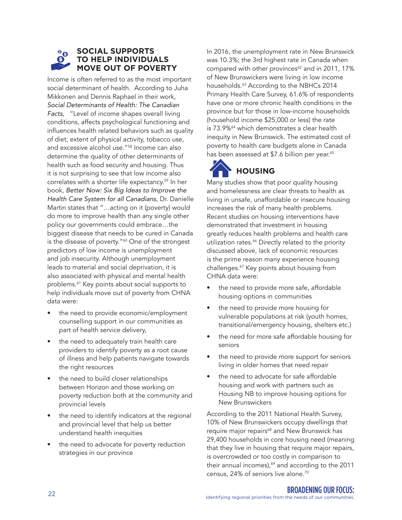#### **SOCIAL SUPPORTS TO HELP INDIVIDUALS MOVE OUT OF POVERTY**

Income is often referred to as the most important social determinant of health. According to Juha Mikkonen and Dennis Raphael in their work, *Social Determinants of Health: The Canadian Facts,* "Level of income shapes overall living conditions, affects psychological functioning and influences health related behaviors such as quality of diet, extent of physical activity, tobacco use, and excessive alcohol use."58 Income can also determine the quality of other determinants of health such as food security and housing. Thus it is not surprising to see that low income also correlates with a shorter life expectancy.59 In her book, *Better Now: Six Big Ideas to Improve the Health Care System for all Canadians*, Dr. Danielle Martin states that "…acting on it (poverty) would do more to improve health than any single other policy our governments could embrace…the biggest disease that needs to be cured in Canada is the disease of poverty."<sup>60</sup> One of the strongest predictors of low income is unemployment and job insecurity. Although unemployment leads to material and social deprivation, it is also associated with physical and mental health problems.61 Key points about social supports to help individuals move out of poverty from CHNA data were:

- the need to provide economic/employment counselling support in our communities as part of health service delivery,
- the need to adequately train health care providers to identify poverty as a root cause of illness and help patients navigate towards the right resources
- the need to build closer relationships between Horizon and those working on poverty reduction both at the community and provincial levels
- the need to identify indicators at the regional and provincial level that help us better understand health inequities
- the need to advocate for poverty reduction strategies in our province

In 2016, the unemployment rate in New Brunswick was 10.3%; the 3rd highest rate in Canada when compared with other provinces<sup>62</sup> and in 2011, 17% of New Brunswickers were living in low income households.<sup>63</sup> According to the NBHCs 2014 Primary Health Care Survey, 61.6% of respondents have one or more chronic health conditions in the province but for those in low-income households (household income \$25,000 or less) the rate is 73.9%<sup>64</sup> which demonstrates a clear health inequity in New Brunswick. The estimated cost of poverty to health care budgets alone in Canada has been assessed at \$7.6 billion per year.<sup>65</sup>



### **HOUSING**

Many studies show that poor quality housing and homelessness are clear threats to health as living in unsafe, unaffordable or insecure housing increases the risk of many health problems. Recent studies on housing interventions have demonstrated that investment in housing greatly reduces health problems and health care utilization rates.<sup>66</sup> Directly related to the priority discussed above, lack of economic resources is the prime reason many experience housing challenges.67 Key points about housing from CHNA data were:

- the need to provide more safe, affordable housing options in communities
- the need to provide more housing for vulnerable populations at risk (youth homes, transitional/emergency housing, shelters etc.)
- the need for more safe affordable housing for seniors
- the need to provide more support for seniors living in older homes that need repair
- the need to advocate for safe affordable housing and work with partners such as Housing NB to improve housing options for New Brunswickers

According to the 2011 National Health Survey, 10% of New Brunswickers occupy dwellings that require major repairs<sup>68</sup> and New Brunswick has 29,400 households in core housing need (meaning that they live in housing that require major repairs, is overcrowded or too costly in comparison to their annual incomes), $69$  and according to the 2011 census, 24% of seniors live alone.70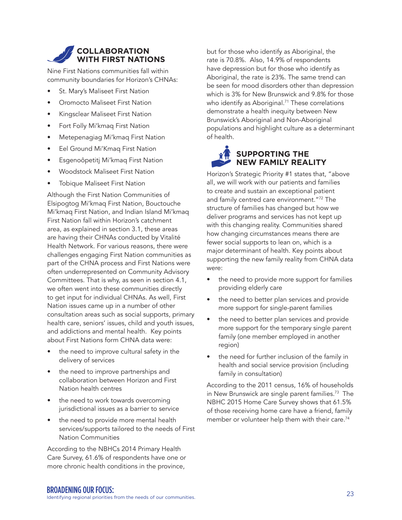#### **COLLABORATION WITH FIRST NATIONS**

Nine First Nations communities fall within community boundaries for Horizon's CHNAs:

- St. Mary's Maliseet First Nation
- Oromocto Maliseet First Nation
- Kingsclear Maliseet First Nation
- Fort Folly Mi'kmaq First Nation
- Metepenagiag Mi'kmaq First Nation
- Eel Ground Mi'Kmaq First Nation
- Esgenoôpetitj Mi'kmaq First Nation
- Woodstock Maliseet First Nation
- Tobique Maliseet First Nation

Although the First Nation Communities of Elsipogtog Mi'kmaq First Nation, Bouctouche Mi'kmaq First Nation, and Indian Island Mi'kmaq First Nation fall within Horizon's catchment area, as explained in section 3.1, these areas are having their CHNAs conducted by Vitalité Health Network. For various reasons, there were challenges engaging First Nation communities as part of the CHNA process and First Nations were often underrepresented on Community Advisory Committees. That is why, as seen in section 4.1, we often went into these communities directly to get input for individual CHNAs. As well, First Nation issues came up in a number of other consultation areas such as social supports, primary health care, seniors' issues, child and youth issues, and addictions and mental health. Key points about First Nations form CHNA data were:

- the need to improve cultural safety in the delivery of services
- the need to improve partnerships and collaboration between Horizon and First Nation health centres
- the need to work towards overcoming jurisdictional issues as a barrier to service
- the need to provide more mental health services/supports tailored to the needs of First Nation Communities

According to the NBHCs 2014 Primary Health Care Survey, 61.6% of respondents have one or more chronic health conditions in the province,

but for those who identify as Aboriginal, the rate is 70.8%. Also, 14.9% of respondents have depression but for those who identify as Aboriginal, the rate is 23%. The same trend can be seen for mood disorders other than depression which is 3% for New Brunswick and 9.8% for those who identify as Aboriginal.<sup>71</sup> These correlations demonstrate a health inequity between New Brunswick's Aboriginal and Non-Aboriginal populations and highlight culture as a determinant of health.

### **SUPPORTING THE NEW FAMILY REALITY**

Horizon's Strategic Priority #1 states that, "above all, we will work with our patients and families to create and sustain an exceptional patient and family centred care environment."72 The structure of families has changed but how we deliver programs and services has not kept up with this changing reality. Communities shared how changing circumstances means there are fewer social supports to lean on, which is a major determinant of health. Key points about supporting the new family reality from CHNA data were:

- the need to provide more support for families providing elderly care
- the need to better plan services and provide more support for single-parent families
- the need to better plan services and provide more support for the temporary single parent family (one member employed in another region)
- the need for further inclusion of the family in health and social service provision (including family in consultation)

According to the 2011 census, 16% of households in New Brunswick are single parent families.<sup>73</sup> The NBHC 2015 Home Care Survey shows that 61.5% of those receiving home care have a friend, family member or volunteer help them with their care.<sup>74</sup>

<sup>23</sup> BROADENING OUR FOCUS: Identifying regional priorities from the needs of our communities.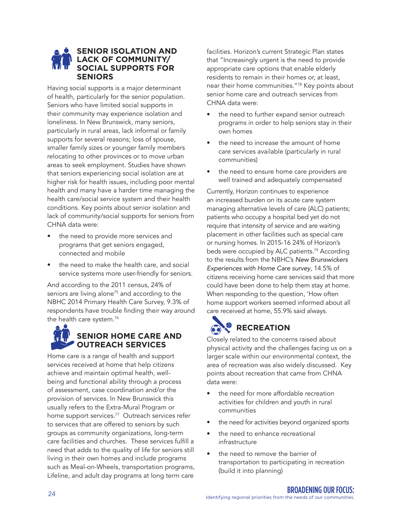#### **SENIOR ISOLATION AND LACK OF COMMUNITY/ SOCIAL SUPPORTS FOR SENIORS**

Having social supports is a major determinant of health, particularly for the senior population. Seniors who have limited social supports in their community may experience isolation and loneliness. In New Brunswick, many seniors, particularly in rural areas, lack informal or family supports for several reasons; loss of spouse, smaller family sizes or younger family members relocating to other provinces or to move urban areas to seek employment. Studies have shown that seniors experiencing social isolation are at higher risk for health issues, including poor mental health and many have a harder time managing the health care/social service system and their health conditions. Key points about senior isolation and lack of community/social supports for seniors from CHNA data were:

- the need to provide more services and programs that get seniors engaged, connected and mobile
- the need to make the health care, and social service systems more user-friendly for seniors.

And according to the 2011 census, 24% of seniors are living alone<sup>75</sup> and according to the NBHC 2014 Primary Health Care Survey, 9.3% of respondents have trouble finding their way around the health care system.<sup>76</sup>

### **SENIOR HOME CARE AND OUTREACH SERVICES**

Home care is a range of health and support services received at home that help citizens achieve and maintain optimal health, wellbeing and functional ability through a process of assessment, case coordination and/or the provision of services. In New Brunswick this usually refers to the Extra-Mural Program or home support services.<sup>77</sup> Outreach services refer to services that are offered to seniors by such groups as community organizations, long-term care facilities and churches. These services fulfill a need that adds to the quality of life for seniors still living in their own homes and include programs such as Meal-on-Wheels, transportation programs, Lifeline, and adult day programs at long term care

facilities. Horizon's current Strategic Plan states that "Increasingly urgent is the need to provide appropriate care options that enable elderly residents to remain in their homes or, at least, near their home communities."78 Key points about senior home care and outreach services from CHNA data were:

- the need to further expand senior outreach programs in order to help seniors stay in their own homes
- the need to increase the amount of home care services available (particularly in rural communities)
- the need to ensure home care providers are well trained and adequately compensated

Currently, Horizon continues to experience an increased burden on its acute care system managing alternative levels of care (ALC) patients; patients who occupy a hospital bed yet do not require that intensity of service and are waiting placement in other facilities such as special care or nursing homes. In 2015-16 24% of Horizon's beds were occupied by ALC patients.<sup>79</sup> According to the results from the NBHC's *New Brunswickers Experiences with Home Care survey*, 14.5% of citizens receiving home care services said that more could have been done to help them stay at home. When responding to the question, 'How often home support workers seemed informed about all care received at home, 55.9% said always.

### **RECREATION**

Closely related to the concerns raised about physical activity and the challenges facing us on a larger scale within our environmental context, the area of recreation was also widely discussed. Key points about recreation that came from CHNA data were:

- the need for more affordable recreation activities for children and youth in rural communities
- the need for activities beyond organized sports
- the need to enhance recreational infrastructure
- the need to remove the barrier of transportation to participating in recreation (build it into planning)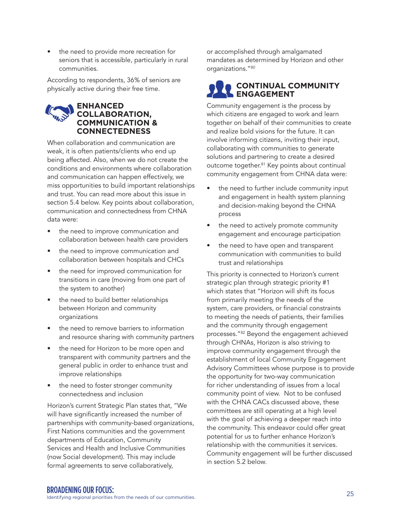the need to provide more recreation for seniors that is accessible, particularly in rural communities.

According to respondents, 36% of seniors are physically active during their free time.

#### **ENHANCED COLLABORATION, COMMUNICATION & CONNECTEDNESS**

When collaboration and communication are weak, it is often patients/clients who end up being affected. Also, when we do not create the conditions and environments where collaboration and communication can happen effectively, we miss opportunities to build important relationships and trust. You can read more about this issue in section 5.4 below. Key points about collaboration, communication and connectedness from CHNA data were:

- the need to improve communication and collaboration between health care providers
- the need to improve communication and collaboration between hospitals and CHCs
- the need for improved communication for transitions in care (moving from one part of the system to another)
- the need to build better relationships between Horizon and community organizations
- the need to remove barriers to information and resource sharing with community partners
- the need for Horizon to be more open and transparent with community partners and the general public in order to enhance trust and improve relationships
- the need to foster stronger community connectedness and inclusion

Horizon's current Strategic Plan states that, "We will have significantly increased the number of partnerships with community-based organizations, First Nations communities and the government departments of Education, Community Services and Health and Inclusive Communities (now Social development). This may include formal agreements to serve collaboratively,

or accomplished through amalgamated mandates as determined by Horizon and other organizations."80

#### **CONTINUAL COMMUNITY ENGAGEMENT**

Community engagement is the process by which citizens are engaged to work and learn together on behalf of their communities to create and realize bold visions for the future. It can involve informing citizens, inviting their input, collaborating with communities to generate solutions and partnering to create a desired outcome together.81 Key points about continual community engagement from CHNA data were:

- the need to further include community input and engagement in health system planning and decision-making beyond the CHNA process
- the need to actively promote community engagement and encourage participation
- the need to have open and transparent communication with communities to build trust and relationships

This priority is connected to Horizon's current strategic plan through strategic priority #1 which states that "Horizon will shift its focus from primarily meeting the needs of the system, care providers, or financial constraints to meeting the needs of patients, their families and the community through engagement processes."82 Beyond the engagement achieved through CHNAs, Horizon is also striving to improve community engagement through the establishment of local Community Engagement Advisory Committees whose purpose is to provide the opportunity for two-way communication for richer understanding of issues from a local community point of view. Not to be confused with the CHNA CACs discussed above, these committees are still operating at a high level with the goal of achieving a deeper reach into the community. This endeavor could offer great potential for us to further enhance Horizon's relationship with the communities it services. Community engagement will be further discussed in section 5.2 below.

<sup>25</sup> BROADENING OUR FOCUS: Identifying regional priorities from the needs of our communities.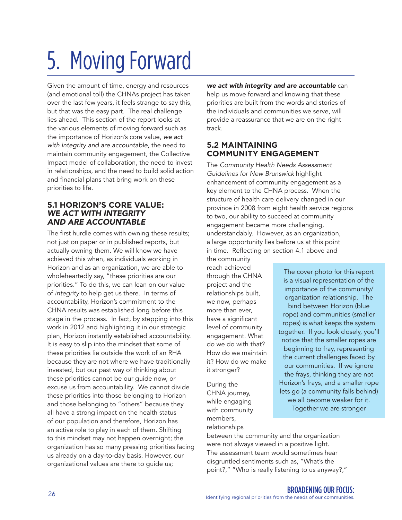# 5. Moving Forward

Given the amount of time, energy and resources (and emotional toll) the CHNAs project has taken over the last few years, it feels strange to say this, but that was the easy part. The real challenge lies ahead. This section of the report looks at the various elements of moving forward such as the importance of Horizon's core value, *we act with integrity and are accountable*, the need to maintain community engagement, the Collective Impact model of collaboration, the need to invest in relationships, and the need to build solid action and financial plans that bring work on these priorities to life.

#### **5.1 HORIZON'S CORE VALUE:** *WE ACT WITH INTEGRITY AND ARE ACCOUNTABLE*

The first hurdle comes with owning these results; not just on paper or in published reports, but actually owning them. We will know we have achieved this when, as individuals working in Horizon and as an organization, we are able to wholeheartedly say, "these priorities are our priorities." To do this, we can lean on our value of *integrity* to help get us there. In terms of accountability, Horizon's commitment to the CHNA results was established long before this stage in the process. In fact, by stepping into this work in 2012 and highlighting it in our strategic plan, Horizon instantly established accountability. It is easy to slip into the mindset that some of these priorities lie outside the work of an RHA because they are not where we have traditionally invested, but our past way of thinking about these priorities cannot be our guide now, or excuse us from accountability. We cannot divide these priorities into those belonging to Horizon and those belonging to "others" because they all have a strong impact on the health status of our population and therefore, Horizon has an active role to play in each of them. Shifting to this mindset may not happen overnight; the organization has so many pressing priorities facing us already on a day-to-day basis. However, our organizational values are there to guide us;

*we act with integrity and are accountable* can help us move forward and knowing that these priorities are built from the words and stories of the individuals and communities we serve, will provide a reassurance that we are on the right track.

#### **5.2 MAINTAINING COMMUNITY ENGAGEMENT**

The *Community Health Needs Assessment Guidelines for New Brunswick* highlight enhancement of community engagement as a key element to the CHNA process. When the structure of health care delivery changed in our province in 2008 from eight health service regions to two, our ability to succeed at community engagement became more challenging, understandably. However, as an organization, a large opportunity lies before us at this point in time. Reflecting on section 4.1 above and

the community reach achieved through the CHNA project and the relationships built, we now, perhaps more than ever, have a significant level of community engagement. What do we do with that? How do we maintain it? How do we make it stronger?

During the CHNA journey, while engaging with community members, relationships

The cover photo for this report is a visual representation of the importance of the community/ organization relationship. The bind between Horizon (blue rope) and communities (smaller ropes) is what keeps the system together. If you look closely, you'll notice that the smaller ropes are beginning to fray, representing the current challenges faced by our communities. If we ignore the frays, thinking they are not Horizon's frays, and a smaller rope lets go (a community falls behind) we all become weaker for it. Together we are stronger

between the community and the organization were not always viewed in a positive light. The assessment team would sometimes hear disgruntled sentiments such as, "What's the point?," "Who is really listening to us anyway?,"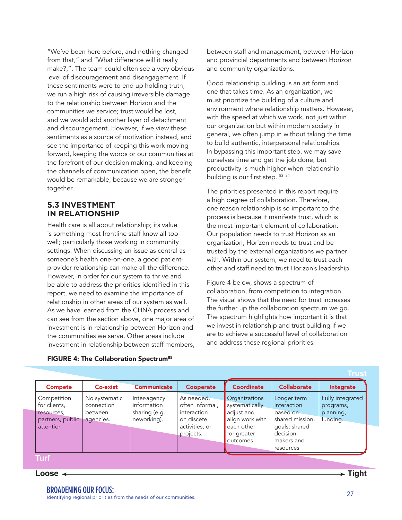"We've been here before, and nothing changed from that," and "What difference will it really make?,". The team could often see a very obvious level of discouragement and disengagement. If these sentiments were to end up holding truth, we run a high risk of causing irreversible damage to the relationship between Horizon and the communities we service; trust would be lost, and we would add another layer of detachment and discouragement. However, if we view these sentiments as a source of motivation instead, and see the importance of keeping this work moving forward, keeping the words or our communities at the forefront of our decision making, and keeping the channels of communication open, the benefit would be remarkable; because we are stronger together.

#### **5.3 INVESTMENT IN RELATIONSHIP**

Health care is all about relationship; its value is something most frontline staff know all too well; particularly those working in community settings. When discussing an issue as central as someone's health one-on-one, a good patientprovider relationship can make all the difference. However, in order for our system to thrive and be able to address the priorities identified in this report, we need to examine the importance of relationship in other areas of our system as well. As we have learned from the CHNA process and can see from the section above, one major area of investment is in relationship between Horizon and the communities we serve. Other areas include investment in relationship between staff members,

FIGURE 4: The Collaboration Spectrum<sup>85</sup>

between staff and management, between Horizon and provincial departments and between Horizon and community organizations.

Good relationship building is an art form and one that takes time. As an organization, we must prioritize the building of a culture and environment where relationship matters. However, with the speed at which we work, not just within our organization but within modern society in general, we often jump in without taking the time to build authentic, interpersonal relationships. In bypassing this important step, we may save ourselves time and get the job done, but productivity is much higher when relationship building is our first step. 83 84

The priorities presented in this report require a high degree of collaboration. Therefore, one reason relationship is so important to the process is because it manifests trust, which is the most important element of collaboration. Our population needs to trust Horizon as an organization, Horizon needs to trust and be trusted by the external organizations we partner with. Within our system, we need to trust each other and staff need to trust Horizon's leadership.

Figure 4 below, shows a spectrum of collaboration, from competition to integration. The visual shows that the need for trust increases the further up the collaboration spectrum we go. The spectrum highlights how important it is that we invest in relationship and trust building if we are to achieve a successful level of collaboration and address these regional priorities.

|                                                                            |                                                     |                                                             |                                                                                           |                                                                                                            |                                                                                                                    | Trust                                                  |
|----------------------------------------------------------------------------|-----------------------------------------------------|-------------------------------------------------------------|-------------------------------------------------------------------------------------------|------------------------------------------------------------------------------------------------------------|--------------------------------------------------------------------------------------------------------------------|--------------------------------------------------------|
| <b>Compete</b>                                                             | <b>Co-exist</b>                                     | <b>Communicate</b>                                          | <b>Cooperate</b>                                                                          | <b>Coordinate</b>                                                                                          | <b>Collaborate</b>                                                                                                 | Integrate                                              |
| Competition<br>for clients,<br>resources.<br>partners, public<br>attention | No systematic<br>connection<br>between<br>agencies. | Inter-agency<br>information<br>sharing (e.g.<br>neworking). | As needed,<br>often informal,<br>interaction<br>on discete<br>activities, or<br>projects. | Organizations<br>systematically<br>adjust and<br>align work with<br>each other<br>for greater<br>outcomes. | Longer term<br>interaction<br>based on<br>shared mission,<br>goals; shared<br>decision-<br>makers and<br>resources | Fully integrated<br>programs,<br>planning,<br>funding. |

### **Turf**

#### **Loose Tight**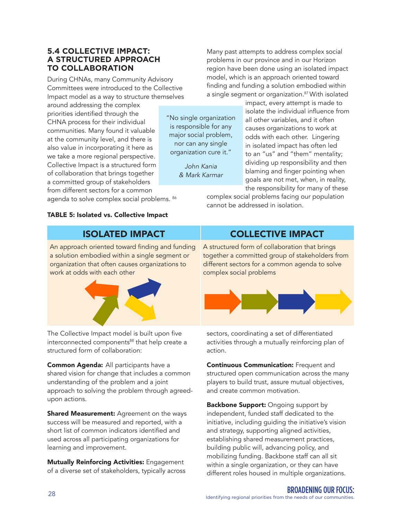#### **5.4 COLLECTIVE IMPACT: A STRUCTURED APPROACH TO COLLABORATION**

During CHNAs, many Community Advisory Committees were introduced to the Collective Impact model as a way to structure themselves

around addressing the complex priorities identified through the CHNA process for their individual communities. Many found it valuable at the community level, and there is also value in incorporating it here as we take a more regional perspective. Collective Impact is a structured form of collaboration that brings together a committed group of stakeholders from different sectors for a common

agenda to solve complex social problems. 86

#### TABLE 5: Isolated vs. Collective Impact

Many past attempts to address complex social problems in our province and in our Horizon region have been done using an isolated impact model, which is an approach oriented toward finding and funding a solution embodied within a single segment or organization.87 With isolated

"No single organization is responsible for any major social problem, nor can any single organization cure it."

> *John Kania & Mark Karmar*

impact, every attempt is made to isolate the individual influence from all other variables, and it often causes organizations to work at odds with each other. Lingering in isolated impact has often led to an "us" and "them" mentality; dividing up responsibility and then blaming and finger pointing when goals are not met, when, in reality, the responsibility for many of these

complex social problems facing our population cannot be addressed in isolation.

An approach oriented toward finding and funding a solution embodied within a single segment or organization that often causes organizations to work at odds with each other



The Collective Impact model is built upon five interconnected components<sup>88</sup> that help create a structured form of collaboration:

Common Agenda: All participants have a shared vision for change that includes a common understanding of the problem and a joint approach to solving the problem through agreedupon actions.

Shared Measurement: Agreement on the ways success will be measured and reported, with a short list of common indicators identified and used across all participating organizations for learning and improvement.

Mutually Reinforcing Activities: Engagement of a diverse set of stakeholders, typically across

#### ISOLATED IMPACT COLLECTIVE IMPACT

A structured form of collaboration that brings together a committed group of stakeholders from different sectors for a common agenda to solve complex social problems



sectors, coordinating a set of differentiated activities through a mutually reinforcing plan of action.

Continuous Communication: Frequent and structured open communication across the many players to build trust, assure mutual objectives, and create common motivation.

**Backbone Support:** Ongoing support by independent, funded staff dedicated to the initiative, including guiding the initiative's vision and strategy, supporting aligned activities, establishing shared measurement practices, building public will, advancing policy, and mobilizing funding. Backbone staff can all sit within a single organization, or they can have different roles housed in multiple organizations.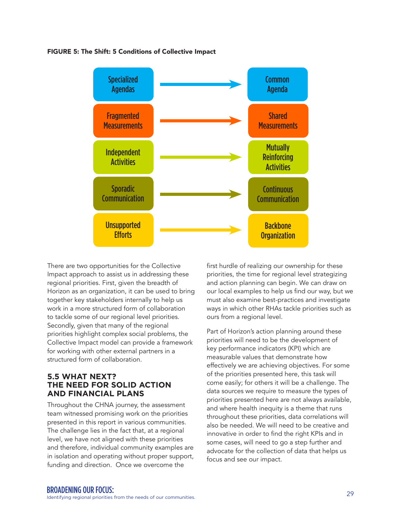#### FIGURE 5: The Shift: 5 Conditions of Collective Impact



There are two opportunities for the Collective Impact approach to assist us in addressing these regional priorities. First, given the breadth of Horizon as an organization, it can be used to bring together key stakeholders internally to help us work in a more structured form of collaboration to tackle some of our regional level priorities. Secondly, given that many of the regional priorities highlight complex social problems, the Collective Impact model can provide a framework for working with other external partners in a structured form of collaboration.

#### **5.5 WHAT NEXT? THE NEED FOR SOLID ACTION AND FINANCIAL PLANS**

Throughout the CHNA journey, the assessment team witnessed promising work on the priorities presented in this report in various communities. The challenge lies in the fact that, at a regional level, we have not aligned with these priorities and therefore, individual community examples are in isolation and operating without proper support, funding and direction. Once we overcome the

first hurdle of realizing our ownership for these priorities, the time for regional level strategizing and action planning can begin. We can draw on our local examples to help us find our way, but we must also examine best-practices and investigate ways in which other RHAs tackle priorities such as ours from a regional level.

Part of Horizon's action planning around these priorities will need to be the development of key performance indicators (KPI) which are measurable values that demonstrate how effectively we are achieving objectives. For some of the priorities presented here, this task will come easily; for others it will be a challenge. The data sources we require to measure the types of priorities presented here are not always available, and where health inequity is a theme that runs throughout these priorities, data correlations will also be needed. We will need to be creative and innovative in order to find the right KPIs and in some cases, will need to go a step further and advocate for the collection of data that helps us focus and see our impact.

<sup>29</sup> BROADENING OUR FOCUS: Identifying regional priorities from the needs of our communities.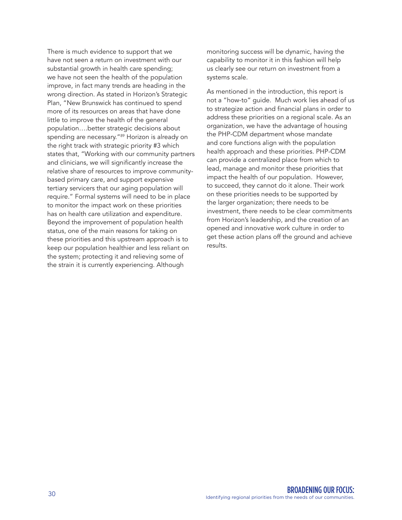There is much evidence to support that we have not seen a return on investment with our substantial growth in health care spending; we have not seen the health of the population improve, in fact many trends are heading in the wrong direction. As stated in Horizon's Strategic Plan, "New Brunswick has continued to spend more of its resources on areas that have done little to improve the health of the general population….better strategic decisions about spending are necessary."<sup>89</sup> Horizon is already on the right track with strategic priority #3 which states that, "Working with our community partners and clinicians, we will significantly increase the relative share of resources to improve communitybased primary care, and support expensive tertiary servicers that our aging population will require." Formal systems will need to be in place to monitor the impact work on these priorities has on health care utilization and expenditure. Beyond the improvement of population health status, one of the main reasons for taking on these priorities and this upstream approach is to keep our population healthier and less reliant on the system; protecting it and relieving some of the strain it is currently experiencing. Although

monitoring success will be dynamic, having the capability to monitor it in this fashion will help us clearly see our return on investment from a systems scale.

As mentioned in the introduction, this report is not a "how-to" guide. Much work lies ahead of us to strategize action and financial plans in order to address these priorities on a regional scale. As an organization, we have the advantage of housing the PHP-CDM department whose mandate and core functions align with the population health approach and these priorities. PHP-CDM can provide a centralized place from which to lead, manage and monitor these priorities that impact the health of our population. However, to succeed, they cannot do it alone. Their work on these priorities needs to be supported by the larger organization; there needs to be investment, there needs to be clear commitments from Horizon's leadership, and the creation of an opened and innovative work culture in order to get these action plans off the ground and achieve results.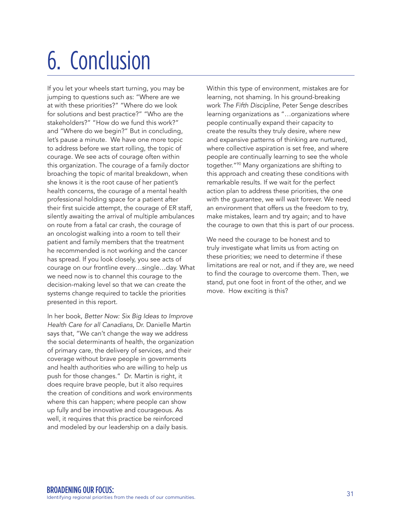## 6. Conclusion

If you let your wheels start turning, you may be jumping to questions such as: "Where are we at with these priorities?" "Where do we look for solutions and best practice?" "Who are the stakeholders?" "How do we fund this work?" and "Where do we begin?" But in concluding, let's pause a minute. We have one more topic to address before we start rolling, the topic of courage. We see acts of courage often within this organization. The courage of a family doctor broaching the topic of marital breakdown, when she knows it is the root cause of her patient's health concerns, the courage of a mental health professional holding space for a patient after their first suicide attempt, the courage of ER staff, silently awaiting the arrival of multiple ambulances on route from a fatal car crash, the courage of an oncologist walking into a room to tell their patient and family members that the treatment he recommended is not working and the cancer has spread. If you look closely, you see acts of courage on our frontline every…single…day. What we need now is to channel this courage to the decision-making level so that we can create the systems change required to tackle the priorities presented in this report.

In her book, *Better Now: Six Big Ideas to Improve Health Care for all Canadians*, Dr. Danielle Martin says that, "We can't change the way we address the social determinants of health, the organization of primary care, the delivery of services, and their coverage without brave people in governments and health authorities who are willing to help us push for those changes." Dr. Martin is right, it does require brave people, but it also requires the creation of conditions and work environments where this can happen; where people can show up fully and be innovative and courageous. As well, it requires that this practice be reinforced and modeled by our leadership on a daily basis.

Within this type of environment, mistakes are for learning, not shaming. In his ground-breaking work *The Fifth Discipline*, Peter Senge describes learning organizations as "…organizations where people continually expand their capacity to create the results they truly desire, where new and expansive patterns of thinking are nurtured, where collective aspiration is set free, and where people are continually learning to see the whole together."90 Many organizations are shifting to this approach and creating these conditions with remarkable results. If we wait for the perfect action plan to address these priorities, the one with the guarantee, we will wait forever. We need an environment that offers us the freedom to try, make mistakes, learn and try again; and to have the courage to own that this is part of our process.

We need the courage to be honest and to truly investigate what limits us from acting on these priorities; we need to determine if these limitations are real or not, and if they are, we need to find the courage to overcome them. Then, we stand, put one foot in front of the other, and we move. How exciting is this?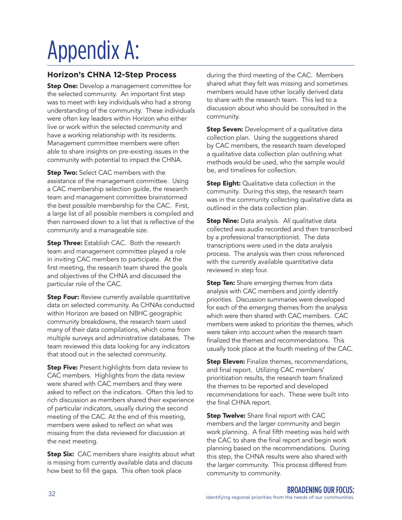## Appendix A:

#### **Horizon's CHNA 12-Step Process**

**Step One:** Develop a management committee for the selected community. An important first step was to meet with key individuals who had a strong understanding of the community. These individuals were often key leaders within Horizon who either live or work within the selected community and have a working relationship with its residents. Management committee members were often able to share insights on pre-existing issues in the community with potential to impact the CHNA.

**Step Two:** Select CAC members with the assistance of the management committee. Using a CAC membership selection guide, the research team and management committee brainstormed the best possible membership for the CAC. First, a large list of all possible members is compiled and then narrowed down to a list that is reflective of the community and a manageable size.

**Step Three:** Establish CAC. Both the research team and management committee played a role in inviting CAC members to participate. At the first meeting, the research team shared the goals and objectives of the CHNA and discussed the particular role of the CAC.

**Step Four:** Review currently available quantitative data on selected community. As CHNAs conducted within Horizon are based on NBHC geographic community breakdowns, the research team used many of their data compilations, which come from multiple surveys and administrative databases. The team reviewed this data looking for any indicators that stood out in the selected community.

**Step Five:** Present highlights from data review to CAC members. Highlights from the data review were shared with CAC members and they were asked to reflect on the indicators. Often this led to rich discussion as members shared their experience of particular indicators, usually during the second meeting of the CAC. At the end of this meeting, members were asked to reflect on what was missing from the data reviewed for discussion at the next meeting.

**Step Six:** CAC members share insights about what is missing from currently available data and discuss how best to fill the gaps. This often took place

during the third meeting of the CAC. Members shared what they felt was missing and sometimes members would have other locally derived data to share with the research team. This led to a discussion about who should be consulted in the community.

**Step Seven:** Development of a qualitative data collection plan. Using the suggestions shared by CAC members, the research team developed a qualitative data collection plan outlining what methods would be used, who the sample would be, and timelines for collection.

**Step Eight:** Qualitative data collection in the community. During this step, the research team was in the community collecting qualitative data as outlined in the data collection plan.

**Step Nine:** Data analysis. All qualitative data collected was audio recorded and then transcribed by a professional transcriptionist. The data transcriptions were used in the data analysis process. The analysis was then cross referenced with the currently available quantitative data reviewed in step four.

**Step Ten:** Share emerging themes from data analysis with CAC members and jointly identify priorities. Discussion summaries were developed for each of the emerging themes from the analysis which were then shared with CAC members. CAC members were asked to prioritize the themes, which were taken into account when the research team finalized the themes and recommendations. This usually took place at the fourth meeting of the CAC.

**Step Eleven:** Finalize themes, recommendations, and final report. Utilizing CAC members' prioritization results, the research team finalized the themes to be reported and developed recommendations for each. These were built into the final CHNA report.

**Step Twelve:** Share final report with CAC members and the larger community and begin work planning. A final fifth meeting was held with the CAC to share the final report and begin work planning based on the recommendations. During this step, the CHNA results were also shared with the larger community. This process differed from community to community.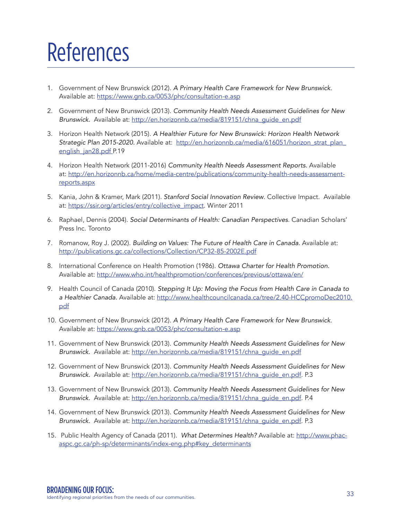## References

- 1. Government of New Brunswick (2012). *A Primary Health Care Framework for New Brunswick*. Available at: https://www.gnb.ca/0053/phc/consultation-e.asp
- 2. Government of New Brunswick (2013). *Community Health Needs Assessment Guidelines for New*  Brunswick. Available at: http://en.horizonnb.ca/media/819151/chna\_guide\_en.pdf
- 3. Horizon Health Network (2015). *A Healthier Future for New Brunswick: Horizon Health Network Strategic Plan 2015-2020.* Available at: http://en.horizonnb.ca/media/616051/horizon\_strat\_plan\_ english\_jan28.pdf P.19
- 4. Horizon Health Network (2011-2016) *Community Health Needs Assessment Reports.* Available at: http://en.horizonnb.ca/home/media-centre/publications/community-health-needs-assessmentreports.aspx
- 5. Kania, John & Kramer, Mark (2011). *Stanford Social Innovation Review*. Collective Impact. Available at: https://ssir.org/articles/entry/collective\_impact. Winter 2011
- 6. Raphael, Dennis (2004). *Social Determinants of Health: Canadian Perspectives*. Canadian Scholars' Press Inc. Toronto
- 7. Romanow, Roy J. (2002). *Building on Values: The Future of Health Care in Canada.* Available at: http://publications.gc.ca/collections/Collection/CP32-85-2002E.pdf
- 8. International Conference on Health Promotion (1986). *Ottawa Charter for Health Promotion.* Available at: http://www.who.int/healthpromotion/conferences/previous/ottawa/en/
- 9. Health Council of Canada (2010). *Stepping It Up: Moving the Focus from Health Care in Canada to a Healthier Canada.* Available at: http://www.healthcouncilcanada.ca/tree/2.40-HCCpromoDec2010. pdf
- 10. Government of New Brunswick (2012). *A Primary Health Care Framework for New Brunswick*. Available at: https://www.gnb.ca/0053/phc/consultation-e.asp
- 11. Government of New Brunswick (2013). *Community Health Needs Assessment Guidelines for New Brunswick.* Available at: http://en.horizonnb.ca/media/819151/chna\_guide\_en.pdf
- 12. Government of New Brunswick (2013). *Community Health Needs Assessment Guidelines for New Brunswick.* Available at: http://en.horizonnb.ca/media/819151/chna\_guide\_en.pdf. P.3
- 13. Government of New Brunswick (2013). *Community Health Needs Assessment Guidelines for New Brunswick.* Available at: http://en.horizonnb.ca/media/819151/chna\_guide\_en.pdf. P.4
- 14. Government of New Brunswick (2013). *Community Health Needs Assessment Guidelines for New Brunswick.* Available at: http://en.horizonnb.ca/media/819151/chna\_guide\_en.pdf. P.3
- 15. Public Health Agency of Canada (2011). *What Determines Health?* Available at: http://www.phacaspc.gc.ca/ph-sp/determinants/index-eng.php#key\_determinants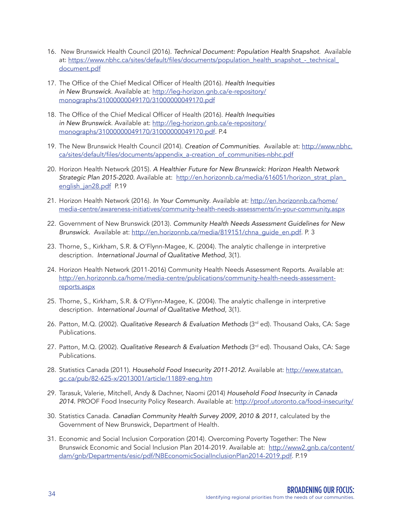- 16. New Brunswick Health Council (2016). *Technical Document: Population Health Snapshot*. Available at: https://www.nbhc.ca/sites/default/files/documents/population\_health\_snapshot -\_technical\_ document.pdf
- 17. The Office of the Chief Medical Officer of Health (2016). *Health Inequities in New Brunswick*. Available at: http://leg-horizon.gnb.ca/e-repository/ monographs/31000000049170/31000000049170.pdf
- 18. The Office of the Chief Medical Officer of Health (2016). *Health Inequities in New Brunswick*. Available at: http://leg-horizon.gnb.ca/e-repository/ monographs/31000000049170/31000000049170.pdf. P.4
- 19. The New Brunswick Health Council (2014). *Creation of Communities*. Available at: http://www.nbhc. ca/sites/default/files/documents/appendix\_a-creation\_of\_communities-nbhc.pdf
- 20. Horizon Health Network (2015). *A Healthier Future for New Brunswick: Horizon Health Network Strategic Plan 2015-2020.* Available at: http://en.horizonnb.ca/media/616051/horizon\_strat\_plan\_ english\_jan28.pdf P.19
- 21. Horizon Health Network (2016). *In Your Community*. Available at: http://en.horizonnb.ca/home/ media-centre/awareness-initiatives/community-health-needs-assessments/in-your-community.aspx
- 22. Government of New Brunswick (2013). *Community Health Needs Assessment Guidelines for New Brunswick.* Available at: http://en.horizonnb.ca/media/819151/chna\_guide\_en.pdf. P. 3
- 23. Thorne, S., Kirkham, S.R. & O'Flynn-Magee, K. (2004). The analytic challenge in interpretive description. *International Journal of Qualitative Method*, 3(1).
- 24. Horizon Health Network (2011-2016) Community Health Needs Assessment Reports. Available at: http://en.horizonnb.ca/home/media-centre/publications/community-health-needs-assessmentreports.aspx
- 25. Thorne, S., Kirkham, S.R. & O'Flynn-Magee, K. (2004). The analytic challenge in interpretive description. *International Journal of Qualitative Method*, 3(1).
- 26. Patton, M.Q. (2002). *Qualitative Research & Evaluation Methods* (3rd ed). Thousand Oaks, CA: Sage Publications.
- 27. Patton, M.Q. (2002). *Qualitative Research & Evaluation Methods* (3<sup>rd</sup> ed). Thousand Oaks, CA: Sage Publications.
- 28. Statistics Canada (2011). *Household Food Insecurity 2011-2012.* Available at: http://www.statcan. gc.ca/pub/82-625-x/2013001/article/11889-eng.htm
- 29. Tarasuk, Valerie, Mitchell, Andy & Dachner, Naomi (2014) *Household Food Insecurity in Canada 2014.* PROOF Food Insecurity Policy Research. Available at: http://proof.utoronto.ca/food-insecurity/
- 30. Statistics Canada. *Canadian Community Health Survey 2009, 2010 & 2011*, calculated by the Government of New Brunswick, Department of Health.
- 31. Economic and Social Inclusion Corporation (2014). Overcoming Poverty Together: The New Brunswick Economic and Social Inclusion Plan 2014-2019. Available at: http://www2.gnb.ca/content/ dam/gnb/Departments/esic/pdf/NBEconomicSocialInclusionPlan2014-2019.pdf. P.19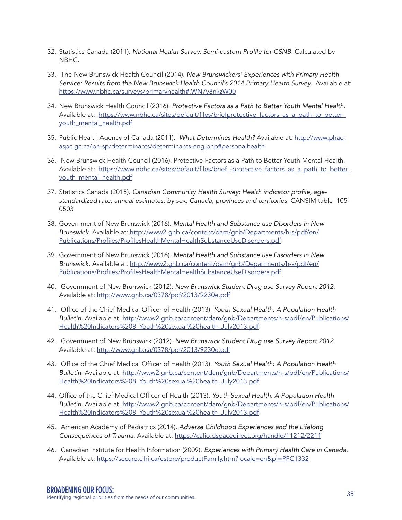- 32. Statistics Canada (2011). National Health Survey, Semi-custom Profile for CSNB. Calculated by NBHC.
- 33. The New Brunswick Health Council (2014). *New Brunswickers' Experiences with Primary Health Service: Results from the New Brunswick Health Council's 2014 Primary Health Survey.* Available at: https://www.nbhc.ca/surveys/primaryhealth#.WN7y8nkzW00
- 34. New Brunswick Health Council (2016). *Protective Factors as a Path to Better Youth Mental Health*. Available at: https://www.nbhc.ca/sites/default/files/briefprotective factors as a path to better youth\_mental\_health.pdf
- 35. Public Health Agency of Canada (2011). *What Determines Health?* Available at: http://www.phacaspc.gc.ca/ph-sp/determinants/determinants-eng.php#personalhealth
- 36. New Brunswick Health Council (2016). Protective Factors as a Path to Better Youth Mental Health. Available at: https://www.nbhc.ca/sites/default/files/brief\_-protective\_factors\_as\_a\_path\_to\_better\_ youth\_mental\_health.pdf
- 37. Statistics Canada (2015). Canadian Community Health Survey: Health indicator profile, age*standardized rate, annual estimates, by sex, Canada, provinces and territories.* CANSIM table 105- 0503
- 38. Government of New Brunswick (2016). *Mental Health and Substance use Disorders in New Brunswick.* Available at: http://www2.gnb.ca/content/dam/gnb/Departments/h-s/pdf/en/ Publications/Profiles/ProfilesHealthMentalHealthSubstanceUseDisorders.pdf
- 39. Government of New Brunswick (2016). *Mental Health and Substance use Disorders in New Brunswick.* Available at: http://www2.gnb.ca/content/dam/gnb/Departments/h-s/pdf/en/ Publications/Profiles/ProfilesHealthMentalHealthSubstanceUseDisorders.pdf
- 40. Government of New Brunswick (2012). *New Brunswick Student Drug use Survey Report 2012*. Available at: http://www.gnb.ca/0378/pdf/2013/9230e.pdf
- 41. Office of the Chief Medical Officer of Health (2013). *Youth Sexual Health: A Population Health Bulletin*. Available at: http://www2.gnb.ca/content/dam/gnb/Departments/h-s/pdf/en/Publications/ Health%20Indicators%208\_Youth%20sexual%20health\_July2013.pdf
- 42. Government of New Brunswick (2012). *New Brunswick Student Drug use Survey Report 2012*. Available at: http://www.gnb.ca/0378/pdf/2013/9230e.pdf
- 43. Office of the Chief Medical Officer of Health (2013). *Youth Sexual Health: A Population Health Bulletin*. Available at: http://www2.gnb.ca/content/dam/gnb/Departments/h-s/pdf/en/Publications/ Health%20Indicators%208\_Youth%20sexual%20health\_July2013.pdf
- 44. Office of the Chief Medical Officer of Health (2013). *Youth Sexual Health: A Population Health Bulletin*. Available at: http://www2.gnb.ca/content/dam/gnb/Departments/h-s/pdf/en/Publications/ Health%20Indicators%208\_Youth%20sexual%20health\_July2013.pdf
- 45. American Academy of Pediatrics (2014). *Adverse Childhood Experiences and the Lifelong Consequences of Trauma.* Available at: https://calio.dspacedirect.org/handle/11212/2211
- 46. Canadian Institute for Health Information (2009). *Experiences with Primary Health Care in Canada.* Available at: https://secure.cihi.ca/estore/productFamily.htm?locale=en&pf=PFC1332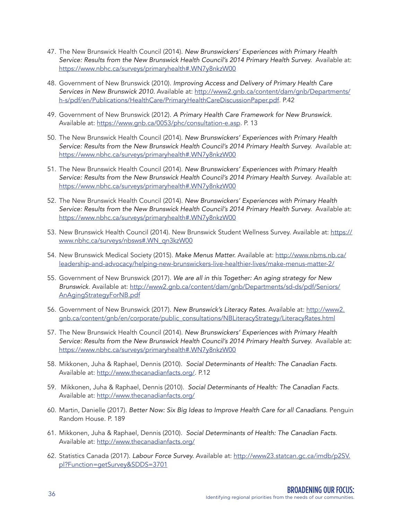- 47. The New Brunswick Health Council (2014). *New Brunswickers' Experiences with Primary Health Service: Results from the New Brunswick Health Council's 2014 Primary Health Survey.* Available at: https://www.nbhc.ca/surveys/primaryhealth#.WN7y8nkzW00
- 48. Government of New Brunswick (2010). *Improving Access and Delivery of Primary Health Care Services in New Brunswick 2010.* Available at: http://www2.gnb.ca/content/dam/gnb/Departments/ h-s/pdf/en/Publications/HealthCare/PrimaryHealthCareDiscussionPaper.pdf. P.42
- 49. Government of New Brunswick (2012). *A Primary Health Care Framework for New Brunswick*. Available at: https://www.gnb.ca/0053/phc/consultation-e.asp. P. 13
- 50. The New Brunswick Health Council (2014). *New Brunswickers' Experiences with Primary Health Service: Results from the New Brunswick Health Council's 2014 Primary Health Survey.* Available at: https://www.nbhc.ca/surveys/primaryhealth#.WN7y8nkzW00
- 51. The New Brunswick Health Council (2014). *New Brunswickers' Experiences with Primary Health Service: Results from the New Brunswick Health Council's 2014 Primary Health Survey.* Available at: https://www.nbhc.ca/surveys/primaryhealth#.WN7y8nkzW00
- 52. The New Brunswick Health Council (2014). *New Brunswickers' Experiences with Primary Health Service: Results from the New Brunswick Health Council's 2014 Primary Health Survey.* Available at: https://www.nbhc.ca/surveys/primaryhealth#.WN7y8nkzW00
- 53. New Brunswick Health Council (2014). New Brunswick Student Wellness Survey. Available at: https:// www.nbhc.ca/surveys/nbsws#.WN\_qn3kzW00
- 54. New Brunswick Medical Society (2015). *Make Menus Matter.* Available at: http://www.nbms.nb.ca/ leadership-and-advocacy/helping-new-brunswickers-live-healthier-lives/make-menus-matter-2/
- 55. Government of New Brunswick (2017). *We are all in this Together: An aging strategy for New Brunswick*. Available at: http://www2.gnb.ca/content/dam/gnb/Departments/sd-ds/pdf/Seniors/ AnAgingStrategyForNB.pdf
- 56. Government of New Brunswick (2017). *New Brunswick's Literacy Rates.* Available at: http://www2. gnb.ca/content/gnb/en/corporate/public\_consultations/NBLiteracyStrategy/LiteracyRates.html
- 57. The New Brunswick Health Council (2014). *New Brunswickers' Experiences with Primary Health Service: Results from the New Brunswick Health Council's 2014 Primary Health Survey.* Available at: https://www.nbhc.ca/surveys/primaryhealth#.WN7y8nkzW00
- 58. Mikkonen, Juha & Raphael, Dennis (2010). *Social Determinants of Health: The Canadian Facts*. Available at: http://www.thecanadianfacts.org/. P.12
- 59. Mikkonen, Juha & Raphael, Dennis (2010). *Social Determinants of Health: The Canadian Facts*. Available at: http://www.thecanadianfacts.org/
- 60. Martin, Danielle (2017). *Better Now: Six Big Ideas to Improve Health Care for all Canadians*. Penguin Random House. P. 189
- 61. Mikkonen, Juha & Raphael, Dennis (2010). *Social Determinants of Health: The Canadian Facts*. Available at: http://www.thecanadianfacts.org/
- 62. Statistics Canada (2017). *Labour Force Survey.* Available at: http://www23.statcan.gc.ca/imdb/p2SV. pl?Function=getSurvey&SDDS=3701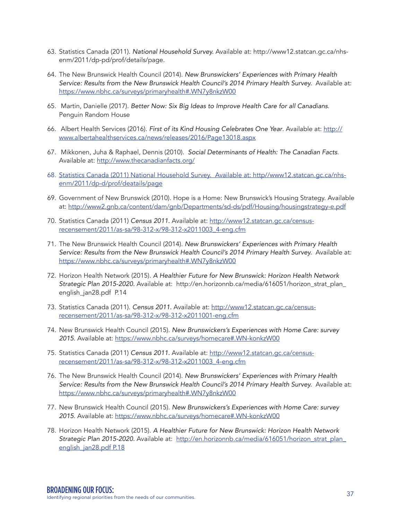- 63. Statistics Canada (2011). *National Household Survey.* Available at: http://www12.statcan.gc.ca/nhsenm/2011/dp-pd/prof/details/page.
- 64. The New Brunswick Health Council (2014). *New Brunswickers' Experiences with Primary Health Service: Results from the New Brunswick Health Council's 2014 Primary Health Survey.* Available at: https://www.nbhc.ca/surveys/primaryhealth#.WN7y8nkzW00
- 65. Martin, Danielle (2017). *Better Now: Six Big Ideas to Improve Health Care for all Canadians*. Penguin Random House
- 66. Albert Health Services (2016). *First of its Kind Housing Celebrates One Year*. Available at: http:// www.albertahealthservices.ca/news/releases/2016/Page13018.aspx
- 67. Mikkonen, Juha & Raphael, Dennis (2010). *Social Determinants of Health: The Canadian Facts*. Available at: http://www.thecanadianfacts.org/
- 68. Statistics Canada (2011) National Household Survey. Available at: http//www12.statcan.gc.ca/nhsenm/2011/dp-d/prof/deatails/page
- 69. Government of New Brunswick (2010). Hope is a Home: New Brunswick's Housing Strategy. Available at: http://www2.gnb.ca/content/dam/gnb/Departments/sd-ds/pdf/Housing/housingstrategy-e.pdf
- 70. Statistics Canada (2011) *Census 2011.* Available at: http://www12.statcan.gc.ca/censusrecensement/2011/as-sa/98-312-x/98-312-x2011003\_4-eng.cfm
- 71. The New Brunswick Health Council (2014). *New Brunswickers' Experiences with Primary Health Service: Results from the New Brunswick Health Council's 2014 Primary Health Survey.* Available at: https://www.nbhc.ca/surveys/primaryhealth#.WN7y8nkzW00
- 72. Horizon Health Network (2015). *A Healthier Future for New Brunswick: Horizon Health Network Strategic Plan 2015-2020.* Available at: http://en.horizonnb.ca/media/616051/horizon\_strat\_plan\_ english\_jan28.pdf P.14
- 73. Statistics Canada (2011). *Census 2011.* Available at: http://www12.statcan.gc.ca/censusrecensement/2011/as-sa/98-312-x/98-312-x2011001-eng.cfm
- 74. New Brunswick Health Council (2015). *New Brunswickers's Experiences with Home Care: survey 2015*. Available at: https://www.nbhc.ca/surveys/homecare#.WN-konkzW00
- 75. Statistics Canada (2011) *Census 2011.* Available at: http://www12.statcan.gc.ca/censusrecensement/2011/as-sa/98-312-x/98-312-x2011003\_4-eng.cfm
- 76. The New Brunswick Health Council (2014). *New Brunswickers' Experiences with Primary Health Service: Results from the New Brunswick Health Council's 2014 Primary Health Survey.* Available at: https://www.nbhc.ca/surveys/primaryhealth#.WN7y8nkzW00
- 77. New Brunswick Health Council (2015). *New Brunswickers's Experiences with Home Care: survey 2015*. Available at: https://www.nbhc.ca/surveys/homecare#.WN-konkzW00
- 78. Horizon Health Network (2015). *A Healthier Future for New Brunswick: Horizon Health Network Strategic Plan 2015-2020.* Available at: http://en.horizonnb.ca/media/616051/horizon\_strat\_plan\_ english\_jan28.pdf P.18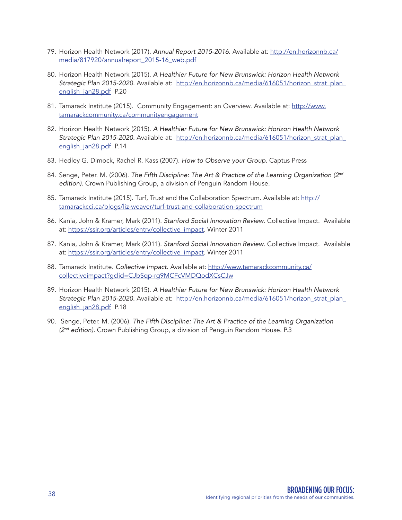- 79. Horizon Health Network (2017). *Annual Report 2015-2016*. Available at: http://en.horizonnb.ca/ media/817920/annualreport\_2015-16\_web.pdf
- 80. Horizon Health Network (2015). *A Healthier Future for New Brunswick: Horizon Health Network*  Strategic Plan 2015-2020. Available at: http://en.horizonnb.ca/media/616051/horizon\_strat\_plan\_ english jan28.pdf P.20
- 81. Tamarack Institute (2015). Community Engagement: an Overview. Available at: http://www. tamarackcommunity.ca/communityengagement
- 82. Horizon Health Network (2015). *A Healthier Future for New Brunswick: Horizon Health Network Strategic Plan 2015-2020.* Available at: http://en.horizonnb.ca/media/616051/horizon\_strat\_plan\_ english\_jan28.pdf P.14
- 83. Hedley G. Dimock, Rachel R. Kass (2007). *How to Observe your Group.* Captus Press
- 84. Senge, Peter. M. (2006). *The Fifth Discipline: The Art & Practice of the Learning Organization (2nd edition).* Crown Publishing Group, a division of Penguin Random House.
- 85. Tamarack Institute (2015). Turf, Trust and the Collaboration Spectrum. Available at: http:// tamarackcci.ca/blogs/liz-weaver/turf-trust-and-collaboration-spectrum
- 86. Kania, John & Kramer, Mark (2011). *Stanford Social Innovation Review*. Collective Impact. Available at: https://ssir.org/articles/entry/collective\_impact. Winter 2011
- 87. Kania, John & Kramer, Mark (2011). *Stanford Social Innovation Review*. Collective Impact. Available at: https://ssir.org/articles/entry/collective\_impact. Winter 2011
- 88. Tamarack Institute. *Collective Impact.* Available at: http://www.tamarackcommunity.ca/ collectiveimpact?gclid=CJbSqp-rg9MCFcVMDQodXCsCJw
- 89. Horizon Health Network (2015). *A Healthier Future for New Brunswick: Horizon Health Network Strategic Plan 2015-2020.* Available at: http://en.horizonnb.ca/media/616051/horizon\_strat\_plan\_ english\_jan28.pdf P.18
- 90. Senge, Peter. M. (2006). *The Fifth Discipline: The Art & Practice of the Learning Organization (2nd edition).* Crown Publishing Group, a division of Penguin Random House. P.3